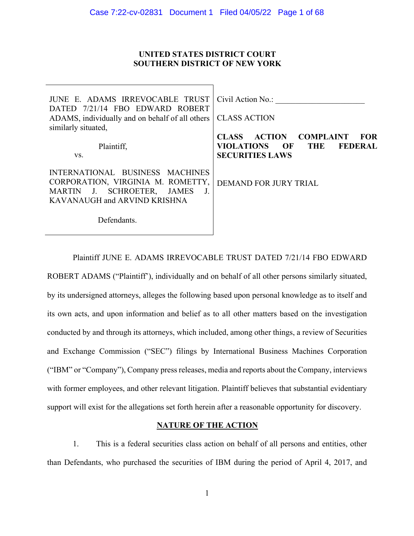# **UNITED STATES DISTRICT COURT SOUTHERN DISTRICT OF NEW YORK**

| JUNE E. ADAMS IRREVOCABLE TRUST<br>DATED 7/21/14 FBO EDWARD ROBERT<br>ADAMS, individually and on behalf of all others<br>similarly situated,<br>Plaintiff,<br>VS. | Civil Action No.:<br><b>CLASS ACTION</b><br><b>ACTION</b><br><b>COMPLAINT</b><br><b>CLASS</b><br><b>FOR</b><br><b>VIOLATIONS</b><br>OF<br>THE<br><b>FEDERAL</b><br><b>SECURITIES LAWS</b> |  |
|-------------------------------------------------------------------------------------------------------------------------------------------------------------------|-------------------------------------------------------------------------------------------------------------------------------------------------------------------------------------------|--|
| INTERNATIONAL BUSINESS MACHINES<br>CORPORATION, VIRGINIA M. ROMETTY,<br>MARTIN J. SCHROETER,<br><b>JAMES</b><br>J.<br>KAVANAUGH and ARVIND KRISHNA                | DEMAND FOR JURY TRIAL                                                                                                                                                                     |  |
| Defendants.                                                                                                                                                       |                                                                                                                                                                                           |  |

## Plaintiff JUNE E. ADAMS IRREVOCABLE TRUST DATED 7/21/14 FBO EDWARD

ROBERT ADAMS ("Plaintiff'), individually and on behalf of all other persons similarly situated, by its undersigned attorneys, alleges the following based upon personal knowledge as to itself and its own acts, and upon information and belief as to all other matters based on the investigation conducted by and through its attorneys, which included, among other things, a review of Securities and Exchange Commission ("SEC") filings by International Business Machines Corporation ("IBM" or "Company"), Company press releases, media and reports about the Company, interviews with former employees, and other relevant litigation. Plaintiff believes that substantial evidentiary support will exist for the allegations set forth herein after a reasonable opportunity for discovery.

## **NATURE OF THE ACTION**

1. This is a federal securities class action on behalf of all persons and entities, other than Defendants, who purchased the securities of IBM during the period of April 4, 2017, and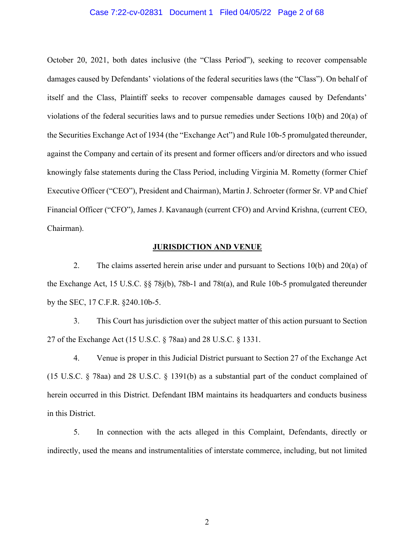#### Case 7:22-cv-02831 Document 1 Filed 04/05/22 Page 2 of 68

October 20, 2021, both dates inclusive (the "Class Period"), seeking to recover compensable damages caused by Defendants' violations of the federal securities laws (the "Class"). On behalf of itself and the Class, Plaintiff seeks to recover compensable damages caused by Defendants' violations of the federal securities laws and to pursue remedies under Sections 10(b) and 20(a) of the Securities Exchange Act of 1934 (the "Exchange Act") and Rule 10b-5 promulgated thereunder, against the Company and certain of its present and former officers and/or directors and who issued knowingly false statements during the Class Period, including Virginia M. Rometty (former Chief Executive Officer ("CEO"), President and Chairman), Martin J. Schroeter (former Sr. VP and Chief Financial Officer ("CFO"), James J. Kavanaugh (current CFO) and Arvind Krishna, (current CEO, Chairman).

#### **JURISDICTION AND VENUE**

2. The claims asserted herein arise under and pursuant to Sections 10(b) and 20(a) of the Exchange Act, 15 U.S.C. §§ 78j(b), 78b-1 and 78t(a), and Rule 10b-5 promulgated thereunder by the SEC, 17 C.F.R. §240.10b-5.

3. This Court has jurisdiction over the subject matter of this action pursuant to Section 27 of the Exchange Act (15 U.S.C. § 78aa) and 28 U.S.C. § 1331.

4. Venue is proper in this Judicial District pursuant to Section 27 of the Exchange Act (15 U.S.C. § 78aa) and 28 U.S.C. § 1391(b) as a substantial part of the conduct complained of herein occurred in this District. Defendant IBM maintains its headquarters and conducts business in this District.

5. In connection with the acts alleged in this Complaint, Defendants, directly or indirectly, used the means and instrumentalities of interstate commerce, including, but not limited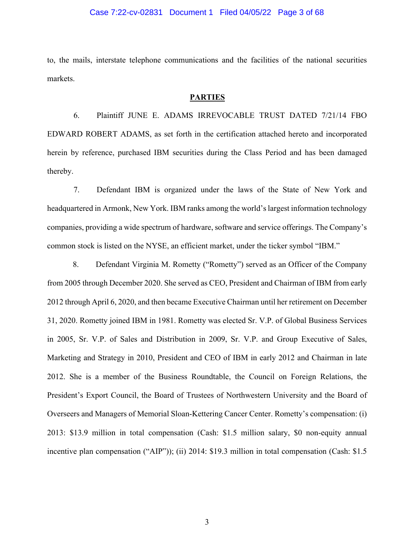to, the mails, interstate telephone communications and the facilities of the national securities markets.

#### **PARTIES**

6. Plaintiff JUNE E. ADAMS IRREVOCABLE TRUST DATED 7/21/14 FBO EDWARD ROBERT ADAMS, as set forth in the certification attached hereto and incorporated herein by reference, purchased IBM securities during the Class Period and has been damaged thereby.

7. Defendant IBM is organized under the laws of the State of New York and headquartered in Armonk, New York. IBM ranks among the world's largest information technology companies, providing a wide spectrum of hardware, software and service offerings. The Company's common stock is listed on the NYSE, an efficient market, under the ticker symbol "IBM."

8. Defendant Virginia M. Rometty ("Rometty") served as an Officer of the Company from 2005 through December 2020. She served as CEO, President and Chairman of IBM from early 2012 through April 6, 2020, and then became Executive Chairman until her retirement on December 31, 2020. Rometty joined IBM in 1981. Rometty was elected Sr. V.P. of Global Business Services in 2005, Sr. V.P. of Sales and Distribution in 2009, Sr. V.P. and Group Executive of Sales, Marketing and Strategy in 2010, President and CEO of IBM in early 2012 and Chairman in late 2012. She is a member of the Business Roundtable, the Council on Foreign Relations, the President's Export Council, the Board of Trustees of Northwestern University and the Board of Overseers and Managers of Memorial Sloan-Kettering Cancer Center. Rometty's compensation: (i) 2013: \$13.9 million in total compensation (Cash: \$1.5 million salary, \$0 non-equity annual incentive plan compensation ("AIP")); (ii) 2014: \$19.3 million in total compensation (Cash: \$1.5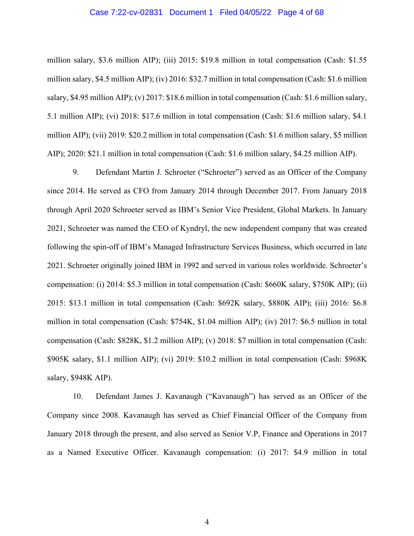#### Case 7:22-cv-02831 Document 1 Filed 04/05/22 Page 4 of 68

million salary, \$3.6 million AIP); (iii) 2015: \$19.8 million in total compensation (Cash: \$1.55 million salary, \$4.5 million AIP); (iv) 2016: \$32.7 million in total compensation (Cash: \$1.6 million salary, \$4.95 million AIP); (v) 2017: \$18.6 million in total compensation (Cash: \$1.6 million salary, 5.1 million AIP); (vi) 2018: \$17.6 million in total compensation (Cash: \$1.6 million salary, \$4.1 million AIP); (vii) 2019: \$20.2 million in total compensation (Cash: \$1.6 million salary, \$5 million AIP); 2020: \$21.1 million in total compensation (Cash: \$1.6 million salary, \$4.25 million AIP).

9. Defendant Martin J. Schroeter ("Schroeter") served as an Officer of the Company since 2014. He served as CFO from January 2014 through December 2017. From January 2018 through April 2020 Schroeter served as IBM's Senior Vice President, Global Markets. In January 2021, Schroeter was named the CEO of Kyndryl, the new independent company that was created following the spin-off of IBM's Managed Infrastructure Services Business, which occurred in late 2021. Schroeter originally joined IBM in 1992 and served in various roles worldwide. Schroeter's compensation: (i) 2014: \$5.3 million in total compensation (Cash: \$660K salary, \$750K AIP); (ii) 2015: \$13.1 million in total compensation (Cash: \$692K salary, \$880K AIP); (iii) 2016: \$6.8 million in total compensation (Cash: \$754K, \$1.04 million AIP); (iv) 2017: \$6.5 million in total compensation (Cash: \$828K, \$1.2 million AIP); (v) 2018: \$7 million in total compensation (Cash: \$905K salary, \$1.1 million AIP); (vi) 2019: \$10.2 million in total compensation (Cash: \$968K salary, \$948K AIP).

10. Defendant James J. Kavanaugh ("Kavanaugh") has served as an Officer of the Company since 2008. Kavanaugh has served as Chief Financial Officer of the Company from January 2018 through the present, and also served as Senior V.P, Finance and Operations in 2017 as a Named Executive Officer. Kavanaugh compensation: (i) 2017: \$4.9 million in total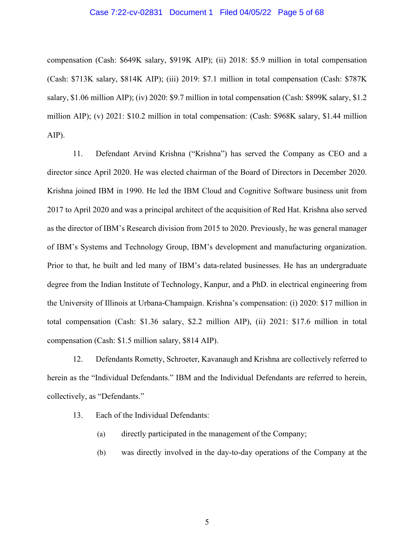#### Case 7:22-cv-02831 Document 1 Filed 04/05/22 Page 5 of 68

compensation (Cash: \$649K salary, \$919K AIP); (ii) 2018: \$5.9 million in total compensation (Cash: \$713K salary, \$814K AIP); (iii) 2019: \$7.1 million in total compensation (Cash: \$787K salary, \$1.06 million AIP); (iv) 2020: \$9.7 million in total compensation (Cash: \$899K salary, \$1.2 million AIP); (v) 2021: \$10.2 million in total compensation: (Cash: \$968K salary, \$1.44 million AIP).

11. Defendant Arvind Krishna ("Krishna") has served the Company as CEO and a director since April 2020. He was elected chairman of the Board of Directors in December 2020. Krishna joined IBM in 1990. He led the IBM Cloud and Cognitive Software business unit from 2017 to April 2020 and was a principal architect of the acquisition of Red Hat. Krishna also served as the director of IBM's Research division from 2015 to 2020. Previously, he was general manager of IBM's Systems and Technology Group, IBM's development and manufacturing organization. Prior to that, he built and led many of IBM's data-related businesses. He has an undergraduate degree from the Indian Institute of Technology, Kanpur, and a PhD. in electrical engineering from the University of Illinois at Urbana-Champaign. Krishna's compensation: (i) 2020: \$17 million in total compensation (Cash: \$1.36 salary, \$2.2 million AIP), (ii) 2021: \$17.6 million in total compensation (Cash: \$1.5 million salary, \$814 AIP).

12. Defendants Rometty, Schroeter, Kavanaugh and Krishna are collectively referred to herein as the "Individual Defendants." IBM and the Individual Defendants are referred to herein, collectively, as "Defendants."

- 13. Each of the Individual Defendants:
	- (a) directly participated in the management of the Company;
	- (b) was directly involved in the day-to-day operations of the Company at the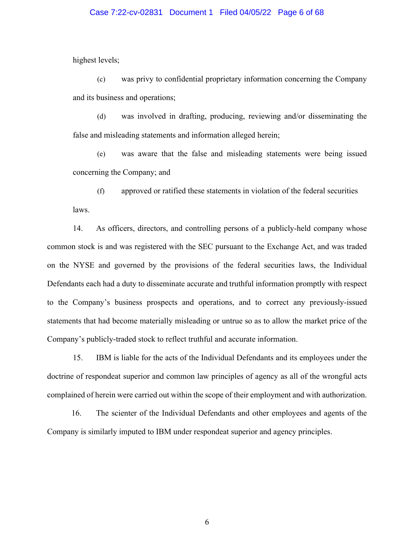highest levels;

(c) was privy to confidential proprietary information concerning the Company and its business and operations;

(d) was involved in drafting, producing, reviewing and/or disseminating the false and misleading statements and information alleged herein;

(e) was aware that the false and misleading statements were being issued concerning the Company; and

(f) approved or ratified these statements in violation of the federal securities laws.

14. As officers, directors, and controlling persons of a publicly-held company whose common stock is and was registered with the SEC pursuant to the Exchange Act, and was traded on the NYSE and governed by the provisions of the federal securities laws, the Individual Defendants each had a duty to disseminate accurate and truthful information promptly with respect to the Company's business prospects and operations, and to correct any previously-issued statements that had become materially misleading or untrue so as to allow the market price of the Company's publicly-traded stock to reflect truthful and accurate information.

15. IBM is liable for the acts of the Individual Defendants and its employees under the doctrine of respondeat superior and common law principles of agency as all of the wrongful acts complained of herein were carried out within the scope of their employment and with authorization.

16. The scienter of the Individual Defendants and other employees and agents of the Company is similarly imputed to IBM under respondeat superior and agency principles.

6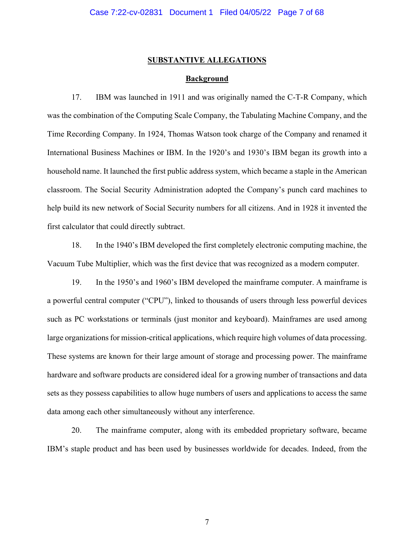#### **SUBSTANTIVE ALLEGATIONS**

#### **Background**

17. IBM was launched in 1911 and was originally named the C-T-R Company, which was the combination of the Computing Scale Company, the Tabulating Machine Company, and the Time Recording Company. In 1924, Thomas Watson took charge of the Company and renamed it International Business Machines or IBM. In the 1920's and 1930's IBM began its growth into a household name. It launched the first public address system, which became a staple in the American classroom. The Social Security Administration adopted the Company's punch card machines to help build its new network of Social Security numbers for all citizens. And in 1928 it invented the first calculator that could directly subtract.

18. In the 1940's IBM developed the first completely electronic computing machine, the Vacuum Tube Multiplier, which was the first device that was recognized as a modern computer.

19. In the 1950's and 1960's IBM developed the mainframe computer. A mainframe is a powerful central computer ("CPU"), linked to thousands of users through less powerful devices such as PC workstations or terminals (just monitor and keyboard). Mainframes are used among large organizations for mission-critical applications, which require high volumes of data processing. These systems are known for their large amount of storage and processing power. The mainframe hardware and software products are considered ideal for a growing number of transactions and data sets as they possess capabilities to allow huge numbers of users and applications to access the same data among each other simultaneously without any interference.

20. The mainframe computer, along with its embedded proprietary software, became IBM's staple product and has been used by businesses worldwide for decades. Indeed, from the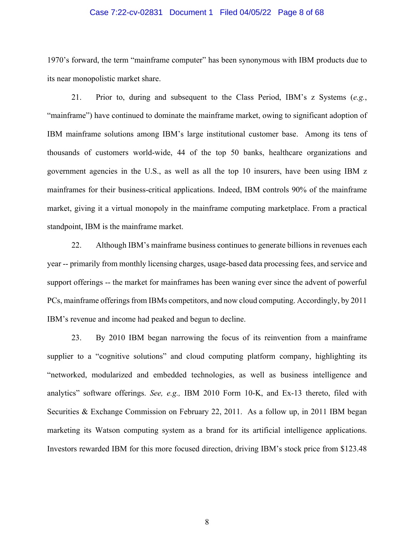#### Case 7:22-cv-02831 Document 1 Filed 04/05/22 Page 8 of 68

1970's forward, the term "mainframe computer" has been synonymous with IBM products due to its near monopolistic market share.

21. Prior to, during and subsequent to the Class Period, IBM's z Systems (*e.g.*, "mainframe") have continued to dominate the mainframe market, owing to significant adoption of IBM mainframe solutions among IBM's large institutional customer base. Among its tens of thousands of customers world-wide, 44 of the top 50 banks, healthcare organizations and government agencies in the U.S., as well as all the top 10 insurers, have been using IBM z mainframes for their business-critical applications. Indeed, IBM controls 90% of the mainframe market, giving it a virtual monopoly in the mainframe computing marketplace. From a practical standpoint, IBM is the mainframe market.

22. Although IBM's mainframe business continues to generate billions in revenues each year -- primarily from monthly licensing charges, usage-based data processing fees, and service and support offerings -- the market for mainframes has been waning ever since the advent of powerful PCs, mainframe offerings from IBMs competitors, and now cloud computing. Accordingly, by 2011 IBM's revenue and income had peaked and begun to decline.

23. By 2010 IBM began narrowing the focus of its reinvention from a mainframe supplier to a "cognitive solutions" and cloud computing platform company, highlighting its "networked, modularized and embedded technologies, as well as business intelligence and analytics" software offerings. *See, e.g.,* IBM 2010 Form 10-K, and Ex-13 thereto, filed with Securities & Exchange Commission on February 22, 2011. As a follow up, in 2011 IBM began marketing its Watson computing system as a brand for its artificial intelligence applications. Investors rewarded IBM for this more focused direction, driving IBM's stock price from \$123.48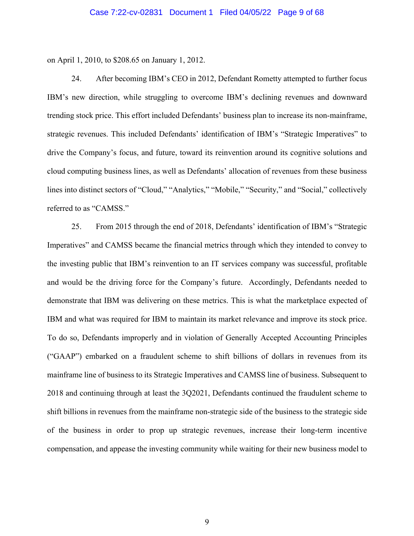on April 1, 2010, to \$208.65 on January 1, 2012.

24. After becoming IBM's CEO in 2012, Defendant Rometty attempted to further focus IBM's new direction, while struggling to overcome IBM's declining revenues and downward trending stock price. This effort included Defendants' business plan to increase its non-mainframe, strategic revenues. This included Defendants' identification of IBM's "Strategic Imperatives" to drive the Company's focus, and future, toward its reinvention around its cognitive solutions and cloud computing business lines, as well as Defendants' allocation of revenues from these business lines into distinct sectors of "Cloud," "Analytics," "Mobile," "Security," and "Social," collectively referred to as "CAMSS."

25. From 2015 through the end of 2018, Defendants' identification of IBM's "Strategic Imperatives" and CAMSS became the financial metrics through which they intended to convey to the investing public that IBM's reinvention to an IT services company was successful, profitable and would be the driving force for the Company's future. Accordingly, Defendants needed to demonstrate that IBM was delivering on these metrics. This is what the marketplace expected of IBM and what was required for IBM to maintain its market relevance and improve its stock price. To do so, Defendants improperly and in violation of Generally Accepted Accounting Principles ("GAAP") embarked on a fraudulent scheme to shift billions of dollars in revenues from its mainframe line of business to its Strategic Imperatives and CAMSS line of business. Subsequent to 2018 and continuing through at least the 3Q2021, Defendants continued the fraudulent scheme to shift billions in revenues from the mainframe non-strategic side of the business to the strategic side of the business in order to prop up strategic revenues, increase their long-term incentive compensation, and appease the investing community while waiting for their new business model to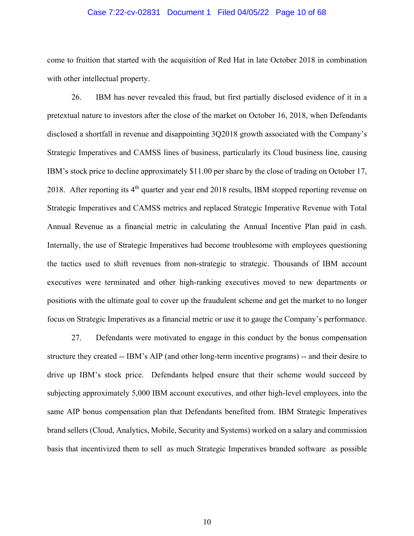#### Case 7:22-cv-02831 Document 1 Filed 04/05/22 Page 10 of 68

come to fruition that started with the acquisition of Red Hat in late October 2018 in combination with other intellectual property.

26. IBM has never revealed this fraud, but first partially disclosed evidence of it in a pretextual nature to investors after the close of the market on October 16, 2018, when Defendants disclosed a shortfall in revenue and disappointing 3Q2018 growth associated with the Company's Strategic Imperatives and CAMSS lines of business, particularly its Cloud business line, causing IBM's stock price to decline approximately \$11.00 per share by the close of trading on October 17, 2018. After reporting its 4<sup>th</sup> quarter and year end 2018 results, IBM stopped reporting revenue on Strategic Imperatives and CAMSS metrics and replaced Strategic Imperative Revenue with Total Annual Revenue as a financial metric in calculating the Annual Incentive Plan paid in cash. Internally, the use of Strategic Imperatives had become troublesome with employees questioning the tactics used to shift revenues from non-strategic to strategic. Thousands of IBM account executives were terminated and other high-ranking executives moved to new departments or positions with the ultimate goal to cover up the fraudulent scheme and get the market to no longer focus on Strategic Imperatives as a financial metric or use it to gauge the Company's performance.

27. Defendants were motivated to engage in this conduct by the bonus compensation structure they created -- IBM's AIP (and other long-term incentive programs) -- and their desire to drive up IBM's stock price. Defendants helped ensure that their scheme would succeed by subjecting approximately 5,000 IBM account executives, and other high-level employees, into the same AIP bonus compensation plan that Defendants benefited from. IBM Strategic Imperatives brand sellers (Cloud, Analytics, Mobile, Security and Systems) worked on a salary and commission basis that incentivized them to sell as much Strategic Imperatives branded software as possible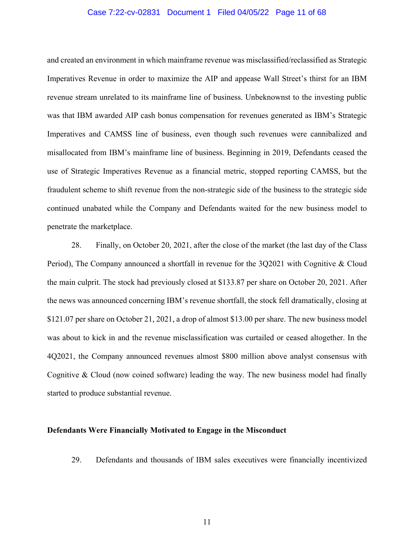#### Case 7:22-cv-02831 Document 1 Filed 04/05/22 Page 11 of 68

and created an environment in which mainframe revenue was misclassified/reclassified as Strategic Imperatives Revenue in order to maximize the AIP and appease Wall Street's thirst for an IBM revenue stream unrelated to its mainframe line of business. Unbeknownst to the investing public was that IBM awarded AIP cash bonus compensation for revenues generated as IBM's Strategic Imperatives and CAMSS line of business, even though such revenues were cannibalized and misallocated from IBM's mainframe line of business. Beginning in 2019, Defendants ceased the use of Strategic Imperatives Revenue as a financial metric, stopped reporting CAMSS, but the fraudulent scheme to shift revenue from the non-strategic side of the business to the strategic side continued unabated while the Company and Defendants waited for the new business model to penetrate the marketplace.

28. Finally, on October 20, 2021, after the close of the market (the last day of the Class Period), The Company announced a shortfall in revenue for the 3Q2021 with Cognitive & Cloud the main culprit. The stock had previously closed at \$133.87 per share on October 20, 2021. After the news was announced concerning IBM's revenue shortfall, the stock fell dramatically, closing at \$121.07 per share on October 21, 2021, a drop of almost \$13.00 per share. The new business model was about to kick in and the revenue misclassification was curtailed or ceased altogether. In the 4Q2021, the Company announced revenues almost \$800 million above analyst consensus with Cognitive & Cloud (now coined software) leading the way. The new business model had finally started to produce substantial revenue.

#### **Defendants Were Financially Motivated to Engage in the Misconduct**

29. Defendants and thousands of IBM sales executives were financially incentivized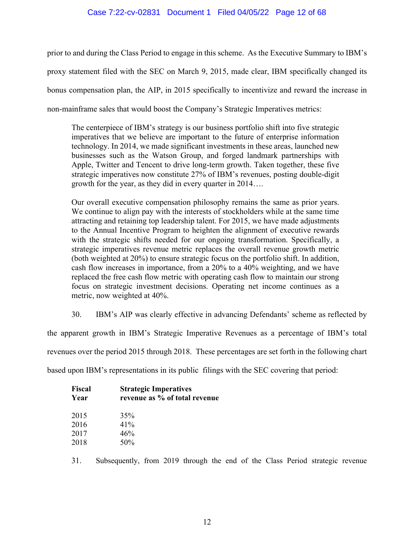## Case 7:22-cv-02831 Document 1 Filed 04/05/22 Page 12 of 68

prior to and during the Class Period to engage in this scheme. As the Executive Summary to IBM's proxy statement filed with the SEC on March 9, 2015, made clear, IBM specifically changed its bonus compensation plan, the AIP, in 2015 specifically to incentivize and reward the increase in non-mainframe sales that would boost the Company's Strategic Imperatives metrics:

The centerpiece of IBM's strategy is our business portfolio shift into five strategic imperatives that we believe are important to the future of enterprise information technology. In 2014, we made significant investments in these areas, launched new businesses such as the Watson Group, and forged landmark partnerships with Apple, Twitter and Tencent to drive long-term growth. Taken together, these five strategic imperatives now constitute 27% of IBM's revenues, posting double-digit growth for the year, as they did in every quarter in 2014….

Our overall executive compensation philosophy remains the same as prior years. We continue to align pay with the interests of stockholders while at the same time attracting and retaining top leadership talent. For 2015, we have made adjustments to the Annual Incentive Program to heighten the alignment of executive rewards with the strategic shifts needed for our ongoing transformation. Specifically, a strategic imperatives revenue metric replaces the overall revenue growth metric (both weighted at 20%) to ensure strategic focus on the portfolio shift. In addition, cash flow increases in importance, from a 20% to a 40% weighting, and we have replaced the free cash flow metric with operating cash flow to maintain our strong focus on strategic investment decisions. Operating net income continues as a metric, now weighted at 40%.

30. IBM's AIP was clearly effective in advancing Defendants' scheme as reflected by

the apparent growth in IBM's Strategic Imperative Revenues as a percentage of IBM's total

revenues over the period 2015 through 2018. These percentages are set forth in the following chart

based upon IBM's representations in its public filings with the SEC covering that period:

| <b>Fiscal</b><br>Year | <b>Strategic Imperatives</b><br>revenue as % of total revenue |  |  |
|-----------------------|---------------------------------------------------------------|--|--|
| 2015                  | 35%                                                           |  |  |
| 2016                  | 41%                                                           |  |  |
| 2017                  | 46%                                                           |  |  |
| 2018                  | 50%                                                           |  |  |

31. Subsequently, from 2019 through the end of the Class Period strategic revenue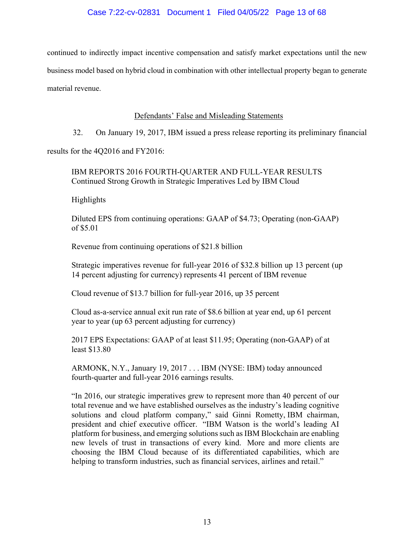## Case 7:22-cv-02831 Document 1 Filed 04/05/22 Page 13 of 68

continued to indirectly impact incentive compensation and satisfy market expectations until the new business model based on hybrid cloud in combination with other intellectual property began to generate material revenue.

## Defendants' False and Misleading Statements

32. On January 19, 2017, IBM issued a press release reporting its preliminary financial

results for the 4Q2016 and FY2016:

IBM REPORTS 2016 FOURTH-QUARTER AND FULL-YEAR RESULTS Continued Strong Growth in Strategic Imperatives Led by IBM Cloud

Highlights

Diluted EPS from continuing operations: GAAP of \$4.73; Operating (non-GAAP) of \$5.01

Revenue from continuing operations of \$21.8 billion

Strategic imperatives revenue for full-year 2016 of \$32.8 billion up 13 percent (up 14 percent adjusting for currency) represents 41 percent of IBM revenue

Cloud revenue of \$13.7 billion for full-year 2016, up 35 percent

Cloud as-a-service annual exit run rate of \$8.6 billion at year end, up 61 percent year to year (up 63 percent adjusting for currency)

2017 EPS Expectations: GAAP of at least \$11.95; Operating (non-GAAP) of at least \$13.80

ARMONK, N.Y., January 19, 2017 . . . IBM (NYSE: IBM) today announced fourth-quarter and full-year 2016 earnings results.

"In 2016, our strategic imperatives grew to represent more than 40 percent of our total revenue and we have established ourselves as the industry's leading cognitive solutions and cloud platform company," said Ginni Rometty, IBM chairman, president and chief executive officer. "IBM Watson is the world's leading AI platform for business, and emerging solutions such as IBM Blockchain are enabling new levels of trust in transactions of every kind. More and more clients are choosing the IBM Cloud because of its differentiated capabilities, which are helping to transform industries, such as financial services, airlines and retail."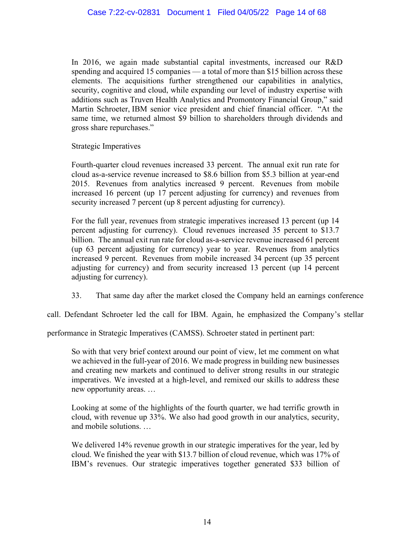In 2016, we again made substantial capital investments, increased our R&D spending and acquired 15 companies — a total of more than \$15 billion across these elements. The acquisitions further strengthened our capabilities in analytics, security, cognitive and cloud, while expanding our level of industry expertise with additions such as Truven Health Analytics and Promontory Financial Group," said Martin Schroeter, IBM senior vice president and chief financial officer. "At the same time, we returned almost \$9 billion to shareholders through dividends and gross share repurchases."

Strategic Imperatives

Fourth-quarter cloud revenues increased 33 percent. The annual exit run rate for cloud as-a-service revenue increased to \$8.6 billion from \$5.3 billion at year-end 2015. Revenues from analytics increased 9 percent. Revenues from mobile increased 16 percent (up 17 percent adjusting for currency) and revenues from security increased 7 percent (up 8 percent adjusting for currency).

For the full year, revenues from strategic imperatives increased 13 percent (up 14 percent adjusting for currency). Cloud revenues increased 35 percent to \$13.7 billion. The annual exit run rate for cloud as-a-service revenue increased 61 percent (up 63 percent adjusting for currency) year to year. Revenues from analytics increased 9 percent. Revenues from mobile increased 34 percent (up 35 percent adjusting for currency) and from security increased 13 percent (up 14 percent adjusting for currency).

33. That same day after the market closed the Company held an earnings conference

call. Defendant Schroeter led the call for IBM. Again, he emphasized the Company's stellar

performance in Strategic Imperatives (CAMSS). Schroeter stated in pertinent part:

So with that very brief context around our point of view, let me comment on what we achieved in the full-year of 2016. We made progress in building new businesses and creating new markets and continued to deliver strong results in our strategic imperatives. We invested at a high-level, and remixed our skills to address these new opportunity areas. …

Looking at some of the highlights of the fourth quarter, we had terrific growth in cloud, with revenue up 33%. We also had good growth in our analytics, security, and mobile solutions. …

We delivered 14% revenue growth in our strategic imperatives for the year, led by cloud. We finished the year with \$13.7 billion of cloud revenue, which was 17% of IBM's revenues. Our strategic imperatives together generated \$33 billion of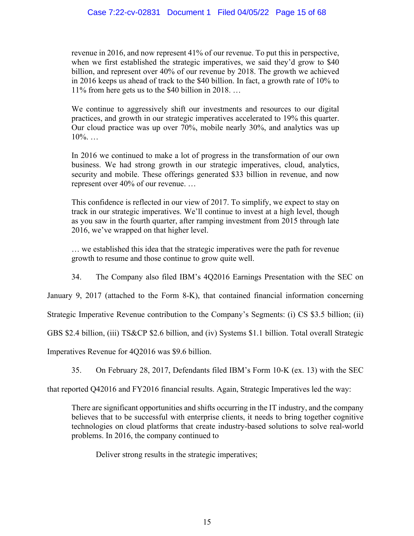# Case 7:22-cv-02831 Document 1 Filed 04/05/22 Page 15 of 68

revenue in 2016, and now represent 41% of our revenue. To put this in perspective, when we first established the strategic imperatives, we said they'd grow to \$40 billion, and represent over 40% of our revenue by 2018. The growth we achieved in 2016 keeps us ahead of track to the \$40 billion. In fact, a growth rate of 10% to 11% from here gets us to the \$40 billion in 2018. …

We continue to aggressively shift our investments and resources to our digital practices, and growth in our strategic imperatives accelerated to 19% this quarter. Our cloud practice was up over 70%, mobile nearly 30%, and analytics was up  $10\%$ . ...

In 2016 we continued to make a lot of progress in the transformation of our own business. We had strong growth in our strategic imperatives, cloud, analytics, security and mobile. These offerings generated \$33 billion in revenue, and now represent over 40% of our revenue. …

This confidence is reflected in our view of 2017. To simplify, we expect to stay on track in our strategic imperatives. We'll continue to invest at a high level, though as you saw in the fourth quarter, after ramping investment from 2015 through late 2016, we've wrapped on that higher level.

… we established this idea that the strategic imperatives were the path for revenue growth to resume and those continue to grow quite well.

34. The Company also filed IBM's 4Q2016 Earnings Presentation with the SEC on

January 9, 2017 (attached to the Form 8-K), that contained financial information concerning

Strategic Imperative Revenue contribution to the Company's Segments: (i) CS \$3.5 billion; (ii)

GBS \$2.4 billion, (iii) TS&CP \$2.6 billion, and (iv) Systems \$1.1 billion. Total overall Strategic

Imperatives Revenue for 4Q2016 was \$9.6 billion.

35. On February 28, 2017, Defendants filed IBM's Form 10-K (ex. 13) with the SEC

that reported Q42016 and FY2016 financial results. Again, Strategic Imperatives led the way:

There are significant opportunities and shifts occurring in the IT industry, and the company believes that to be successful with enterprise clients, it needs to bring together cognitive technologies on cloud platforms that create industry-based solutions to solve real-world problems. In 2016, the company continued to

Deliver strong results in the strategic imperatives;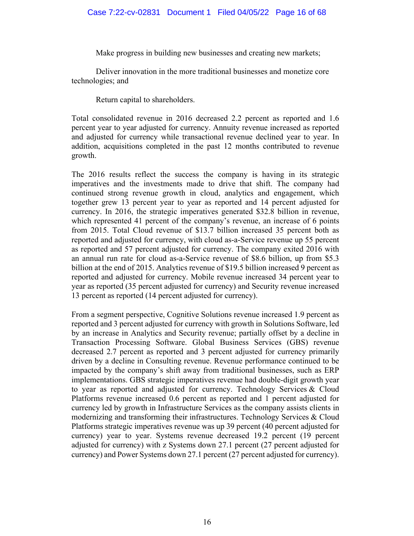Make progress in building new businesses and creating new markets;

Deliver innovation in the more traditional businesses and monetize core technologies; and

Return capital to shareholders.

Total consolidated revenue in 2016 decreased 2.2 percent as reported and 1.6 percent year to year adjusted for currency. Annuity revenue increased as reported and adjusted for currency while transactional revenue declined year to year. In addition, acquisitions completed in the past 12 months contributed to revenue growth.

The 2016 results reflect the success the company is having in its strategic imperatives and the investments made to drive that shift. The company had continued strong revenue growth in cloud, analytics and engagement, which together grew 13 percent year to year as reported and 14 percent adjusted for currency. In 2016, the strategic imperatives generated \$32.8 billion in revenue, which represented 41 percent of the company's revenue, an increase of 6 points from 2015. Total Cloud revenue of \$13.7 billion increased 35 percent both as reported and adjusted for currency, with cloud as-a-Service revenue up 55 percent as reported and 57 percent adjusted for currency. The company exited 2016 with an annual run rate for cloud as-a-Service revenue of \$8.6 billion, up from \$5.3 billion at the end of 2015. Analytics revenue of \$19.5 billion increased 9 percent as reported and adjusted for currency. Mobile revenue increased 34 percent year to year as reported (35 percent adjusted for currency) and Security revenue increased 13 percent as reported (14 percent adjusted for currency).

From a segment perspective, Cognitive Solutions revenue increased 1.9 percent as reported and 3 percent adjusted for currency with growth in Solutions Software, led by an increase in Analytics and Security revenue; partially offset by a decline in Transaction Processing Software. Global Business Services (GBS) revenue decreased 2.7 percent as reported and 3 percent adjusted for currency primarily driven by a decline in Consulting revenue. Revenue performance continued to be impacted by the company's shift away from traditional businesses, such as ERP implementations. GBS strategic imperatives revenue had double-digit growth year to year as reported and adjusted for currency. Technology Services & Cloud Platforms revenue increased 0.6 percent as reported and 1 percent adjusted for currency led by growth in Infrastructure Services as the company assists clients in modernizing and transforming their infrastructures. Technology Services & Cloud Platforms strategic imperatives revenue was up 39 percent (40 percent adjusted for currency) year to year. Systems revenue decreased 19.2 percent (19 percent adjusted for currency) with z Systems down 27.1 percent (27 percent adjusted for currency) and Power Systems down 27.1 percent (27 percent adjusted for currency).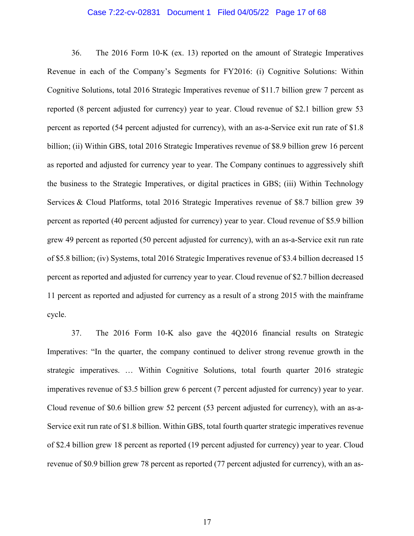#### Case 7:22-cv-02831 Document 1 Filed 04/05/22 Page 17 of 68

36. The 2016 Form 10-K (ex. 13) reported on the amount of Strategic Imperatives Revenue in each of the Company's Segments for FY2016: (i) Cognitive Solutions: Within Cognitive Solutions, total 2016 Strategic Imperatives revenue of \$11.7 billion grew 7 percent as reported (8 percent adjusted for currency) year to year. Cloud revenue of \$2.1 billion grew 53 percent as reported (54 percent adjusted for currency), with an as-a-Service exit run rate of \$1.8 billion; (ii) Within GBS, total 2016 Strategic Imperatives revenue of \$8.9 billion grew 16 percent as reported and adjusted for currency year to year. The Company continues to aggressively shift the business to the Strategic Imperatives, or digital practices in GBS; (iii) Within Technology Services & Cloud Platforms, total 2016 Strategic Imperatives revenue of \$8.7 billion grew 39 percent as reported (40 percent adjusted for currency) year to year. Cloud revenue of \$5.9 billion grew 49 percent as reported (50 percent adjusted for currency), with an as-a-Service exit run rate of \$5.8 billion; (iv) Systems, total 2016 Strategic Imperatives revenue of \$3.4 billion decreased 15 percent as reported and adjusted for currency year to year. Cloud revenue of \$2.7 billion decreased 11 percent as reported and adjusted for currency as a result of a strong 2015 with the mainframe cycle.

37. The 2016 Form 10-K also gave the 4Q2016 financial results on Strategic Imperatives: "In the quarter, the company continued to deliver strong revenue growth in the strategic imperatives. … Within Cognitive Solutions, total fourth quarter 2016 strategic imperatives revenue of \$3.5 billion grew 6 percent (7 percent adjusted for currency) year to year. Cloud revenue of \$0.6 billion grew 52 percent (53 percent adjusted for currency), with an as-a-Service exit run rate of \$1.8 billion. Within GBS, total fourth quarter strategic imperatives revenue of \$2.4 billion grew 18 percent as reported (19 percent adjusted for currency) year to year. Cloud revenue of \$0.9 billion grew 78 percent as reported (77 percent adjusted for currency), with an as-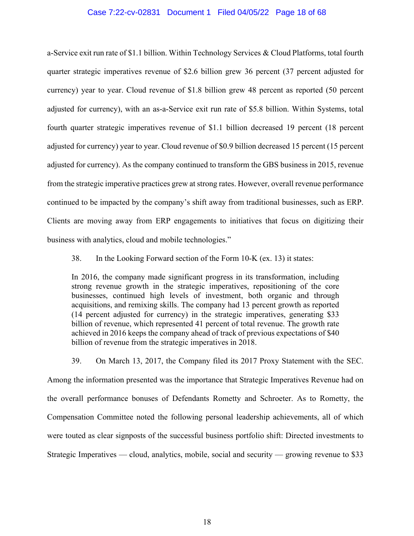#### Case 7:22-cv-02831 Document 1 Filed 04/05/22 Page 18 of 68

a-Service exit run rate of \$1.1 billion. Within Technology Services & Cloud Platforms, total fourth quarter strategic imperatives revenue of \$2.6 billion grew 36 percent (37 percent adjusted for currency) year to year. Cloud revenue of \$1.8 billion grew 48 percent as reported (50 percent adjusted for currency), with an as-a-Service exit run rate of \$5.8 billion. Within Systems, total fourth quarter strategic imperatives revenue of \$1.1 billion decreased 19 percent (18 percent adjusted for currency) year to year. Cloud revenue of \$0.9 billion decreased 15 percent (15 percent adjusted for currency). As the company continued to transform the GBS business in 2015, revenue from the strategic imperative practices grew at strong rates. However, overall revenue performance continued to be impacted by the company's shift away from traditional businesses, such as ERP. Clients are moving away from ERP engagements to initiatives that focus on digitizing their business with analytics, cloud and mobile technologies."

38. In the Looking Forward section of the Form 10-K (ex. 13) it states:

In 2016, the company made significant progress in its transformation, including strong revenue growth in the strategic imperatives, repositioning of the core businesses, continued high levels of investment, both organic and through acquisitions, and remixing skills. The company had 13 percent growth as reported (14 percent adjusted for currency) in the strategic imperatives, generating \$33 billion of revenue, which represented 41 percent of total revenue. The growth rate achieved in 2016 keeps the company ahead of track of previous expectations of \$40 billion of revenue from the strategic imperatives in 2018.

39. On March 13, 2017, the Company filed its 2017 Proxy Statement with the SEC. Among the information presented was the importance that Strategic Imperatives Revenue had on the overall performance bonuses of Defendants Rometty and Schroeter. As to Rometty, the Compensation Committee noted the following personal leadership achievements, all of which were touted as clear signposts of the successful business portfolio shift: Directed investments to Strategic Imperatives — cloud, analytics, mobile, social and security — growing revenue to \$33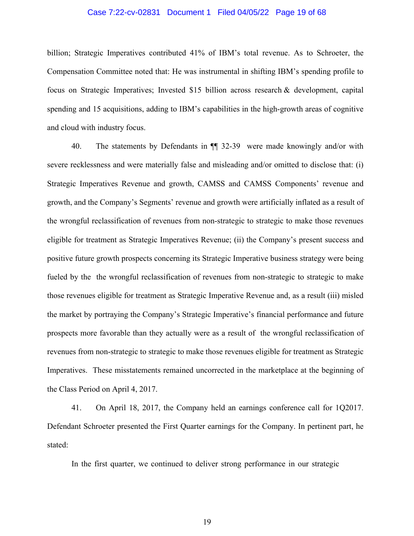#### Case 7:22-cv-02831 Document 1 Filed 04/05/22 Page 19 of 68

billion; Strategic Imperatives contributed 41% of IBM's total revenue. As to Schroeter, the Compensation Committee noted that: He was instrumental in shifting IBM's spending profile to focus on Strategic Imperatives; Invested \$15 billion across research & development, capital spending and 15 acquisitions, adding to IBM's capabilities in the high-growth areas of cognitive and cloud with industry focus.

40. The statements by Defendants in ¶¶ 32-39 were made knowingly and/or with severe recklessness and were materially false and misleading and/or omitted to disclose that: (i) Strategic Imperatives Revenue and growth, CAMSS and CAMSS Components' revenue and growth, and the Company's Segments' revenue and growth were artificially inflated as a result of the wrongful reclassification of revenues from non-strategic to strategic to make those revenues eligible for treatment as Strategic Imperatives Revenue; (ii) the Company's present success and positive future growth prospects concerning its Strategic Imperative business strategy were being fueled by the the wrongful reclassification of revenues from non-strategic to strategic to make those revenues eligible for treatment as Strategic Imperative Revenue and, as a result (iii) misled the market by portraying the Company's Strategic Imperative's financial performance and future prospects more favorable than they actually were as a result of the wrongful reclassification of revenues from non-strategic to strategic to make those revenues eligible for treatment as Strategic Imperatives. These misstatements remained uncorrected in the marketplace at the beginning of the Class Period on April 4, 2017.

41. On April 18, 2017, the Company held an earnings conference call for 1Q2017. Defendant Schroeter presented the First Quarter earnings for the Company. In pertinent part, he stated:

In the first quarter, we continued to deliver strong performance in our strategic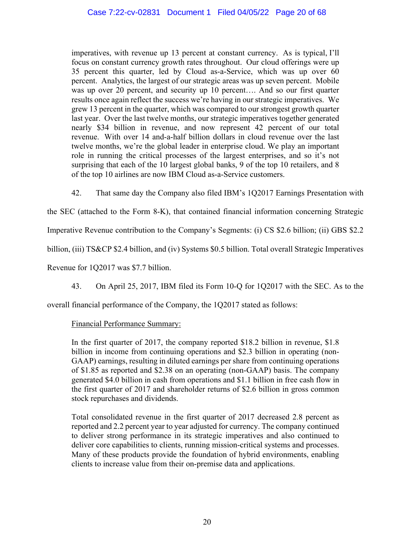imperatives, with revenue up 13 percent at constant currency. As is typical, I'll focus on constant currency growth rates throughout. Our cloud offerings were up 35 percent this quarter, led by Cloud as-a-Service, which was up over 60 percent. Analytics, the largest of our strategic areas was up seven percent. Mobile was up over 20 percent, and security up 10 percent.... And so our first quarter results once again reflect the success we're having in our strategic imperatives. We grew 13 percent in the quarter, which was compared to our strongest growth quarter last year. Over the last twelve months, our strategic imperatives together generated nearly \$34 billion in revenue, and now represent 42 percent of our total revenue. With over 14 and-a-half billion dollars in cloud revenue over the last twelve months, we're the global leader in enterprise cloud. We play an important role in running the critical processes of the largest enterprises, and so it's not surprising that each of the 10 largest global banks, 9 of the top 10 retailers, and 8 of the top 10 airlines are now IBM Cloud as-a-Service customers.

42. That same day the Company also filed IBM's 1Q2017 Earnings Presentation with

the SEC (attached to the Form 8-K), that contained financial information concerning Strategic

Imperative Revenue contribution to the Company's Segments: (i) CS \$2.6 billion; (ii) GBS \$2.2

billion, (iii) TS&CP \$2.4 billion, and (iv) Systems \$0.5 billion. Total overall Strategic Imperatives

Revenue for 1Q2017 was \$7.7 billion.

43. On April 25, 2017, IBM filed its Form 10-Q for 1Q2017 with the SEC. As to the

overall financial performance of the Company, the 1Q2017 stated as follows:

## Financial Performance Summary:

In the first quarter of 2017, the company reported \$18.2 billion in revenue, \$1.8 billion in income from continuing operations and \$2.3 billion in operating (non-GAAP) earnings, resulting in diluted earnings per share from continuing operations of \$1.85 as reported and \$2.38 on an operating (non-GAAP) basis. The company generated \$4.0 billion in cash from operations and \$1.1 billion in free cash flow in the first quarter of 2017 and shareholder returns of \$2.6 billion in gross common stock repurchases and dividends.

Total consolidated revenue in the first quarter of 2017 decreased 2.8 percent as reported and 2.2 percent year to year adjusted for currency. The company continued to deliver strong performance in its strategic imperatives and also continued to deliver core capabilities to clients, running mission-critical systems and processes. Many of these products provide the foundation of hybrid environments, enabling clients to increase value from their on-premise data and applications.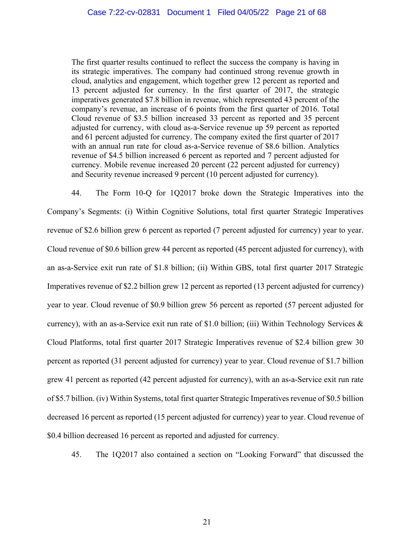The first quarter results continued to reflect the success the company is having in its strategic imperatives. The company had continued strong revenue growth in cloud, analytics and engagement, which together grew 12 percent as reported and 13 percent adjusted for currency. In the first quarter of 2017, the strategic imperatives generated \$7.8 billion in revenue, which represented 43 percent of the company's revenue, an increase of 6 points from the first quarter of 2016. Total Cloud revenue of \$3.5 billion increased 33 percent as reported and 35 percent adjusted for currency, with cloud as-a-Service revenue up 59 percent as reported and 61 percent adjusted for currency. The company exited the first quarter of 2017 with an annual run rate for cloud as-a-Service revenue of \$8.6 billion. Analytics revenue of \$4.5 billion increased 6 percent as reported and 7 percent adjusted for currency. Mobile revenue increased 20 percent (22 percent adjusted for currency) and Security revenue increased 9 percent (10 percent adjusted for currency).

44. The Form 10-Q for 1Q2017 broke down the Strategic Imperatives into the Company's Segments: (i) Within Cognitive Solutions, total first quarter Strategic Imperatives revenue of \$2.6 billion grew 6 percent as reported (7 percent adjusted for currency) year to year. Cloud revenue of \$0.6 billion grew 44 percent as reported (45 percent adjusted for currency), with an as-a-Service exit run rate of \$1.8 billion; (ii) Within GBS, total first quarter 2017 Strategic Imperatives revenue of \$2.2 billion grew 12 percent as reported (13 percent adjusted for currency) year to year. Cloud revenue of \$0.9 billion grew 56 percent as reported (57 percent adjusted for currency), with an as-a-Service exit run rate of \$1.0 billion; (iii) Within Technology Services & Cloud Platforms, total first quarter 2017 Strategic Imperatives revenue of \$2.4 billion grew 30 percent as reported (31 percent adjusted for currency) year to year. Cloud revenue of \$1.7 billion grew 41 percent as reported (42 percent adjusted for currency), with an as-a-Service exit run rate of \$5.7 billion. (iv) Within Systems, total first quarter Strategic Imperatives revenue of \$0.5 billion decreased 16 percent as reported (15 percent adjusted for currency) year to year. Cloud revenue of \$0.4 billion decreased 16 percent as reported and adjusted for currency.

45. The 1Q2017 also contained a section on "Looking Forward" that discussed the

21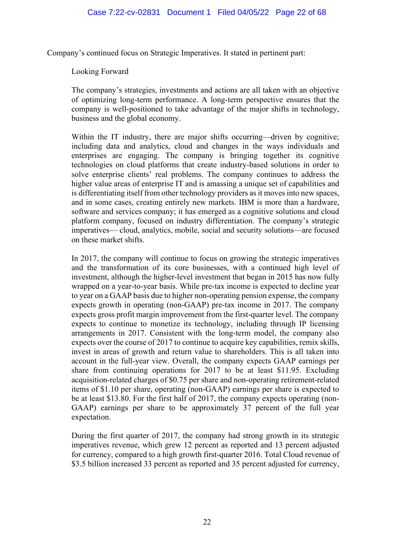Company's continued focus on Strategic Imperatives. It stated in pertinent part:

Looking Forward

The company's strategies, investments and actions are all taken with an objective of optimizing long-term performance. A long-term perspective ensures that the company is well-positioned to take advantage of the major shifts in technology, business and the global economy.

Within the IT industry, there are major shifts occurring—driven by cognitive; including data and analytics, cloud and changes in the ways individuals and enterprises are engaging. The company is bringing together its cognitive technologies on cloud platforms that create industry-based solutions in order to solve enterprise clients' real problems. The company continues to address the higher value areas of enterprise IT and is amassing a unique set of capabilities and is differentiating itself from other technology providers as it moves into new spaces, and in some cases, creating entirely new markets. IBM is more than a hardware, software and services company; it has emerged as a cognitive solutions and cloud platform company, focused on industry differentiation. The company's strategic imperatives— cloud, analytics, mobile, social and security solutions—are focused on these market shifts.

In 2017, the company will continue to focus on growing the strategic imperatives and the transformation of its core businesses, with a continued high level of investment, although the higher-level investment that began in 2015 has now fully wrapped on a year-to-year basis. While pre-tax income is expected to decline year to year on a GAAP basis due to higher non-operating pension expense, the company expects growth in operating (non-GAAP) pre-tax income in 2017. The company expects gross profit margin improvement from the first-quarter level. The company expects to continue to monetize its technology, including through IP licensing arrangements in 2017. Consistent with the long-term model, the company also expects over the course of 2017 to continue to acquire key capabilities, remix skills, invest in areas of growth and return value to shareholders. This is all taken into account in the full-year view. Overall, the company expects GAAP earnings per share from continuing operations for 2017 to be at least \$11.95. Excluding acquisition-related charges of \$0.75 per share and non-operating retirement-related items of \$1.10 per share, operating (non-GAAP) earnings per share is expected to be at least \$13.80. For the first half of 2017, the company expects operating (non-GAAP) earnings per share to be approximately 37 percent of the full year expectation.

During the first quarter of 2017, the company had strong growth in its strategic imperatives revenue, which grew 12 percent as reported and 13 percent adjusted for currency, compared to a high growth first-quarter 2016. Total Cloud revenue of \$3.5 billion increased 33 percent as reported and 35 percent adjusted for currency,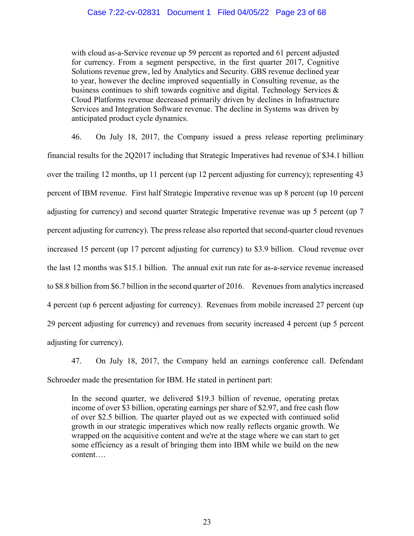## Case 7:22-cv-02831 Document 1 Filed 04/05/22 Page 23 of 68

with cloud as-a-Service revenue up 59 percent as reported and 61 percent adjusted for currency. From a segment perspective, in the first quarter 2017, Cognitive Solutions revenue grew, led by Analytics and Security. GBS revenue declined year to year, however the decline improved sequentially in Consulting revenue, as the business continues to shift towards cognitive and digital. Technology Services  $\&$ Cloud Platforms revenue decreased primarily driven by declines in Infrastructure Services and Integration Software revenue. The decline in Systems was driven by anticipated product cycle dynamics.

46. On July 18, 2017, the Company issued a press release reporting preliminary financial results for the 2Q2017 including that Strategic Imperatives had revenue of \$34.1 billion over the trailing 12 months, up 11 percent (up 12 percent adjusting for currency); representing 43 percent of IBM revenue. First half Strategic Imperative revenue was up 8 percent (up 10 percent adjusting for currency) and second quarter Strategic Imperative revenue was up 5 percent (up 7 percent adjusting for currency). The press release also reported that second-quarter cloud revenues increased 15 percent (up 17 percent adjusting for currency) to \$3.9 billion. Cloud revenue over the last 12 months was \$15.1 billion. The annual exit run rate for as-a-service revenue increased to \$8.8 billion from \$6.7 billion in the second quarter of 2016. Revenues from analytics increased 4 percent (up 6 percent adjusting for currency). Revenues from mobile increased 27 percent (up 29 percent adjusting for currency) and revenues from security increased 4 percent (up 5 percent adjusting for currency).

47. On July 18, 2017, the Company held an earnings conference call. Defendant Schroeder made the presentation for IBM. He stated in pertinent part:

In the second quarter, we delivered \$19.3 billion of revenue, operating pretax income of over \$3 billion, operating earnings per share of \$2.97, and free cash flow of over \$2.5 billion. The quarter played out as we expected with continued solid growth in our strategic imperatives which now really reflects organic growth. We wrapped on the acquisitive content and we're at the stage where we can start to get some efficiency as a result of bringing them into IBM while we build on the new content….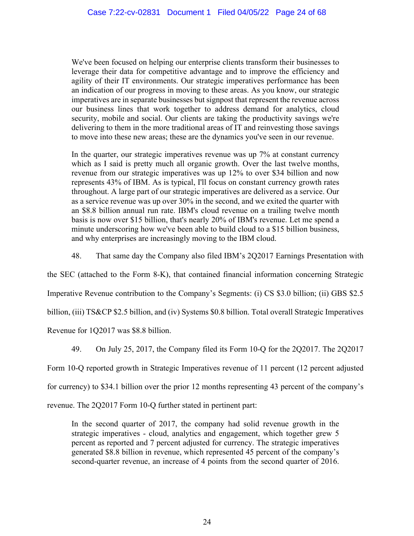We've been focused on helping our enterprise clients transform their businesses to leverage their data for competitive advantage and to improve the efficiency and agility of their IT environments. Our strategic imperatives performance has been an indication of our progress in moving to these areas. As you know, our strategic imperatives are in separate businesses but signpost that represent the revenue across our business lines that work together to address demand for analytics, cloud security, mobile and social. Our clients are taking the productivity savings we're delivering to them in the more traditional areas of IT and reinvesting those savings to move into these new areas; these are the dynamics you've seen in our revenue.

In the quarter, our strategic imperatives revenue was up 7% at constant currency which as I said is pretty much all organic growth. Over the last twelve months, revenue from our strategic imperatives was up 12% to over \$34 billion and now represents 43% of IBM. As is typical, I'll focus on constant currency growth rates throughout. A large part of our strategic imperatives are delivered as a service. Our as a service revenue was up over 30% in the second, and we exited the quarter with an \$8.8 billion annual run rate. IBM's cloud revenue on a trailing twelve month basis is now over \$15 billion, that's nearly 20% of IBM's revenue. Let me spend a minute underscoring how we've been able to build cloud to a \$15 billion business, and why enterprises are increasingly moving to the IBM cloud.

48. That same day the Company also filed IBM's 2Q2017 Earnings Presentation with

the SEC (attached to the Form 8-K), that contained financial information concerning Strategic

Imperative Revenue contribution to the Company's Segments: (i) CS \$3.0 billion; (ii) GBS \$2.5

billion, (iii) TS&CP \$2.5 billion, and (iv) Systems \$0.8 billion. Total overall Strategic Imperatives

Revenue for 1Q2017 was \$8.8 billion.

49. On July 25, 2017, the Company filed its Form 10-Q for the 2Q2017. The 2Q2017

Form 10-Q reported growth in Strategic Imperatives revenue of 11 percent (12 percent adjusted

for currency) to \$34.1 billion over the prior 12 months representing 43 percent of the company's

revenue. The 2Q2017 Form 10-Q further stated in pertinent part:

In the second quarter of 2017, the company had solid revenue growth in the strategic imperatives - cloud, analytics and engagement, which together grew 5 percent as reported and 7 percent adjusted for currency. The strategic imperatives generated \$8.8 billion in revenue, which represented 45 percent of the company's second-quarter revenue, an increase of 4 points from the second quarter of 2016.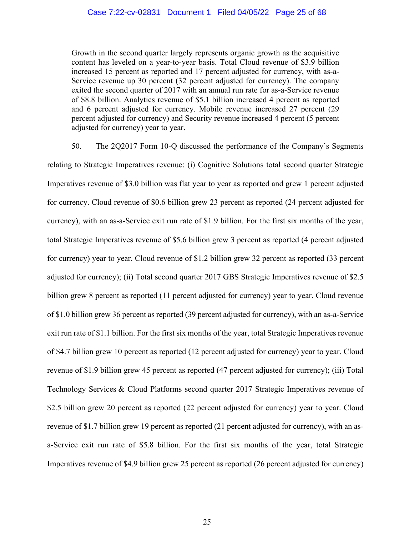#### Case 7:22-cv-02831 Document 1 Filed 04/05/22 Page 25 of 68

Growth in the second quarter largely represents organic growth as the acquisitive content has leveled on a year-to-year basis. Total Cloud revenue of \$3.9 billion increased 15 percent as reported and 17 percent adjusted for currency, with as-a-Service revenue up 30 percent (32 percent adjusted for currency). The company exited the second quarter of 2017 with an annual run rate for as-a-Service revenue of \$8.8 billion. Analytics revenue of \$5.1 billion increased 4 percent as reported and 6 percent adjusted for currency. Mobile revenue increased 27 percent (29 percent adjusted for currency) and Security revenue increased 4 percent (5 percent adjusted for currency) year to year.

50. The 2Q2017 Form 10-Q discussed the performance of the Company's Segments relating to Strategic Imperatives revenue: (i) Cognitive Solutions total second quarter Strategic Imperatives revenue of \$3.0 billion was flat year to year as reported and grew 1 percent adjusted for currency. Cloud revenue of \$0.6 billion grew 23 percent as reported (24 percent adjusted for currency), with an as-a-Service exit run rate of \$1.9 billion. For the first six months of the year, total Strategic Imperatives revenue of \$5.6 billion grew 3 percent as reported (4 percent adjusted for currency) year to year. Cloud revenue of \$1.2 billion grew 32 percent as reported (33 percent adjusted for currency); (ii) Total second quarter 2017 GBS Strategic Imperatives revenue of \$2.5 billion grew 8 percent as reported (11 percent adjusted for currency) year to year. Cloud revenue of \$1.0 billion grew 36 percent as reported (39 percent adjusted for currency), with an as-a-Service exit run rate of \$1.1 billion. For the first six months of the year, total Strategic Imperatives revenue of \$4.7 billion grew 10 percent as reported (12 percent adjusted for currency) year to year. Cloud revenue of \$1.9 billion grew 45 percent as reported (47 percent adjusted for currency); (iii) Total Technology Services & Cloud Platforms second quarter 2017 Strategic Imperatives revenue of \$2.5 billion grew 20 percent as reported (22 percent adjusted for currency) year to year. Cloud revenue of \$1.7 billion grew 19 percent as reported (21 percent adjusted for currency), with an asa-Service exit run rate of \$5.8 billion. For the first six months of the year, total Strategic Imperatives revenue of \$4.9 billion grew 25 percent as reported (26 percent adjusted for currency)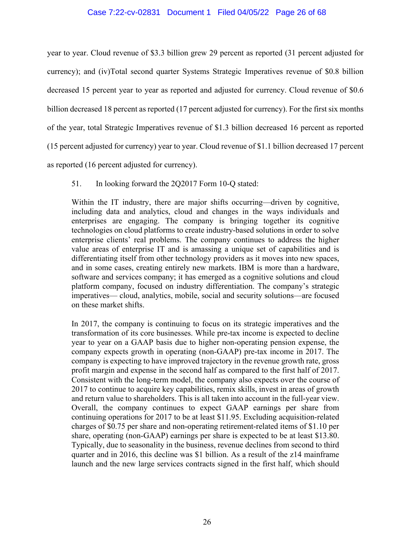## Case 7:22-cv-02831 Document 1 Filed 04/05/22 Page 26 of 68

year to year. Cloud revenue of \$3.3 billion grew 29 percent as reported (31 percent adjusted for currency); and (iv)Total second quarter Systems Strategic Imperatives revenue of \$0.8 billion decreased 15 percent year to year as reported and adjusted for currency. Cloud revenue of \$0.6 billion decreased 18 percent as reported (17 percent adjusted for currency). For the first six months of the year, total Strategic Imperatives revenue of \$1.3 billion decreased 16 percent as reported (15 percent adjusted for currency) year to year. Cloud revenue of \$1.1 billion decreased 17 percent

as reported (16 percent adjusted for currency).

51. In looking forward the 2Q2017 Form 10-Q stated:

Within the IT industry, there are major shifts occurring—driven by cognitive, including data and analytics, cloud and changes in the ways individuals and enterprises are engaging. The company is bringing together its cognitive technologies on cloud platforms to create industry-based solutions in order to solve enterprise clients' real problems. The company continues to address the higher value areas of enterprise IT and is amassing a unique set of capabilities and is differentiating itself from other technology providers as it moves into new spaces, and in some cases, creating entirely new markets. IBM is more than a hardware, software and services company; it has emerged as a cognitive solutions and cloud platform company, focused on industry differentiation. The company's strategic imperatives— cloud, analytics, mobile, social and security solutions—are focused on these market shifts.

In 2017, the company is continuing to focus on its strategic imperatives and the transformation of its core businesses. While pre-tax income is expected to decline year to year on a GAAP basis due to higher non-operating pension expense, the company expects growth in operating (non-GAAP) pre-tax income in 2017. The company is expecting to have improved trajectory in the revenue growth rate, gross profit margin and expense in the second half as compared to the first half of 2017. Consistent with the long-term model, the company also expects over the course of 2017 to continue to acquire key capabilities, remix skills, invest in areas of growth and return value to shareholders. This is all taken into account in the full-year view. Overall, the company continues to expect GAAP earnings per share from continuing operations for 2017 to be at least \$11.95. Excluding acquisition-related charges of \$0.75 per share and non-operating retirement-related items of \$1.10 per share, operating (non-GAAP) earnings per share is expected to be at least \$13.80. Typically, due to seasonality in the business, revenue declines from second to third quarter and in 2016, this decline was \$1 billion. As a result of the z14 mainframe launch and the new large services contracts signed in the first half, which should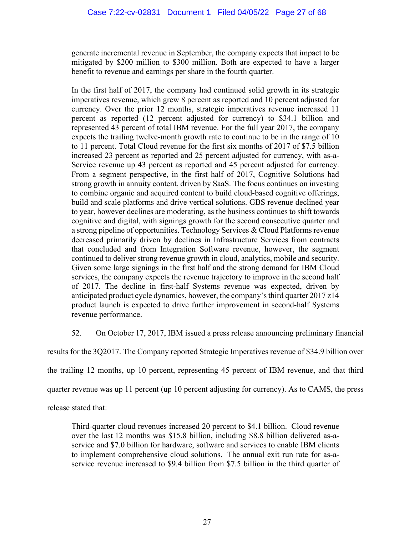generate incremental revenue in September, the company expects that impact to be mitigated by \$200 million to \$300 million. Both are expected to have a larger benefit to revenue and earnings per share in the fourth quarter.

In the first half of 2017, the company had continued solid growth in its strategic imperatives revenue, which grew 8 percent as reported and 10 percent adjusted for currency. Over the prior 12 months, strategic imperatives revenue increased 11 percent as reported (12 percent adjusted for currency) to \$34.1 billion and represented 43 percent of total IBM revenue. For the full year 2017, the company expects the trailing twelve-month growth rate to continue to be in the range of 10 to 11 percent. Total Cloud revenue for the first six months of 2017 of \$7.5 billion increased 23 percent as reported and 25 percent adjusted for currency, with as-a-Service revenue up 43 percent as reported and 45 percent adjusted for currency. From a segment perspective, in the first half of 2017, Cognitive Solutions had strong growth in annuity content, driven by SaaS. The focus continues on investing to combine organic and acquired content to build cloud-based cognitive offerings, build and scale platforms and drive vertical solutions. GBS revenue declined year to year, however declines are moderating, as the business continues to shift towards cognitive and digital, with signings growth for the second consecutive quarter and a strong pipeline of opportunities. Technology Services & Cloud Platforms revenue decreased primarily driven by declines in Infrastructure Services from contracts that concluded and from Integration Software revenue, however, the segment continued to deliver strong revenue growth in cloud, analytics, mobile and security. Given some large signings in the first half and the strong demand for IBM Cloud services, the company expects the revenue trajectory to improve in the second half of 2017. The decline in first-half Systems revenue was expected, driven by anticipated product cycle dynamics, however, the company'sthird quarter 2017 z14 product launch is expected to drive further improvement in second-half Systems revenue performance.

52. On October 17, 2017, IBM issued a press release announcing preliminary financial

results for the 3Q2017. The Company reported Strategic Imperatives revenue of \$34.9 billion over

the trailing 12 months, up 10 percent, representing 45 percent of IBM revenue, and that third

quarter revenue was up 11 percent (up 10 percent adjusting for currency). As to CAMS, the press

release stated that:

Third-quarter cloud revenues increased 20 percent to \$4.1 billion. Cloud revenue over the last 12 months was \$15.8 billion, including \$8.8 billion delivered as-aservice and \$7.0 billion for hardware, software and services to enable IBM clients to implement comprehensive cloud solutions. The annual exit run rate for as-aservice revenue increased to \$9.4 billion from \$7.5 billion in the third quarter of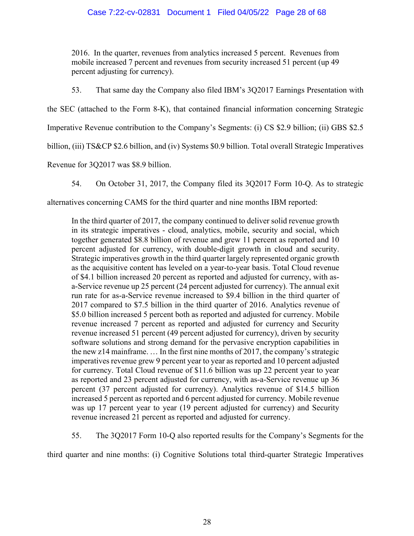# Case 7:22-cv-02831 Document 1 Filed 04/05/22 Page 28 of 68

2016. In the quarter, revenues from analytics increased 5 percent. Revenues from mobile increased 7 percent and revenues from security increased 51 percent (up 49 percent adjusting for currency).

53. That same day the Company also filed IBM's 3Q2017 Earnings Presentation with

the SEC (attached to the Form 8-K), that contained financial information concerning Strategic

Imperative Revenue contribution to the Company's Segments: (i) CS \$2.9 billion; (ii) GBS \$2.5

billion, (iii) TS&CP \$2.6 billion, and (iv) Systems \$0.9 billion. Total overall Strategic Imperatives

Revenue for 3Q2017 was \$8.9 billion.

54. On October 31, 2017, the Company filed its 3Q2017 Form 10-Q. As to strategic

alternatives concerning CAMS for the third quarter and nine months IBM reported:

In the third quarter of 2017, the company continued to deliver solid revenue growth in its strategic imperatives - cloud, analytics, mobile, security and social, which together generated \$8.8 billion of revenue and grew 11 percent as reported and 10 percent adjusted for currency, with double-digit growth in cloud and security. Strategic imperatives growth in the third quarter largely represented organic growth as the acquisitive content has leveled on a year-to-year basis. Total Cloud revenue of \$4.1 billion increased 20 percent as reported and adjusted for currency, with asa-Service revenue up 25 percent (24 percent adjusted for currency). The annual exit run rate for as-a-Service revenue increased to \$9.4 billion in the third quarter of 2017 compared to \$7.5 billion in the third quarter of 2016. Analytics revenue of \$5.0 billion increased 5 percent both as reported and adjusted for currency. Mobile revenue increased 7 percent as reported and adjusted for currency and Security revenue increased 51 percent (49 percent adjusted for currency), driven by security software solutions and strong demand for the pervasive encryption capabilities in the new z14 mainframe. … In the first nine months of 2017, the company's strategic imperatives revenue grew 9 percent year to year as reported and 10 percent adjusted for currency. Total Cloud revenue of \$11.6 billion was up 22 percent year to year as reported and 23 percent adjusted for currency, with as-a-Service revenue up 36 percent (37 percent adjusted for currency). Analytics revenue of \$14.5 billion increased 5 percent as reported and 6 percent adjusted for currency. Mobile revenue was up 17 percent year to year (19 percent adjusted for currency) and Security revenue increased 21 percent as reported and adjusted for currency.

55. The 3Q2017 Form 10-Q also reported results for the Company's Segments for the

third quarter and nine months: (i) Cognitive Solutions total third-quarter Strategic Imperatives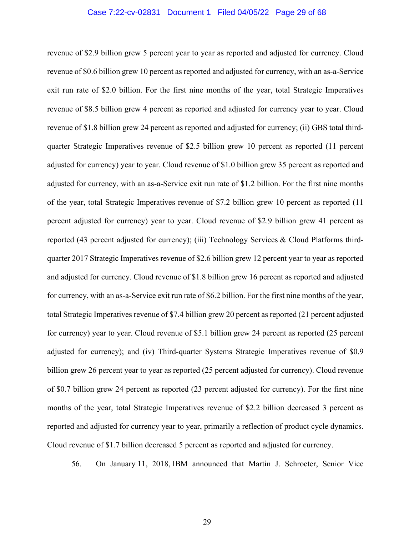#### Case 7:22-cv-02831 Document 1 Filed 04/05/22 Page 29 of 68

revenue of \$2.9 billion grew 5 percent year to year as reported and adjusted for currency. Cloud revenue of \$0.6 billion grew 10 percent as reported and adjusted for currency, with an as-a-Service exit run rate of \$2.0 billion. For the first nine months of the year, total Strategic Imperatives revenue of \$8.5 billion grew 4 percent as reported and adjusted for currency year to year. Cloud revenue of \$1.8 billion grew 24 percent as reported and adjusted for currency; (ii) GBS total thirdquarter Strategic Imperatives revenue of \$2.5 billion grew 10 percent as reported (11 percent adjusted for currency) year to year. Cloud revenue of \$1.0 billion grew 35 percent as reported and adjusted for currency, with an as-a-Service exit run rate of \$1.2 billion. For the first nine months of the year, total Strategic Imperatives revenue of \$7.2 billion grew 10 percent as reported (11 percent adjusted for currency) year to year. Cloud revenue of \$2.9 billion grew 41 percent as reported (43 percent adjusted for currency); (iii) Technology Services & Cloud Platforms thirdquarter 2017 Strategic Imperatives revenue of \$2.6 billion grew 12 percent year to year as reported and adjusted for currency. Cloud revenue of \$1.8 billion grew 16 percent as reported and adjusted for currency, with an as-a-Service exit run rate of \$6.2 billion. For the first nine months of the year, total Strategic Imperatives revenue of \$7.4 billion grew 20 percent as reported (21 percent adjusted for currency) year to year. Cloud revenue of \$5.1 billion grew 24 percent as reported (25 percent adjusted for currency); and (iv) Third-quarter Systems Strategic Imperatives revenue of \$0.9 billion grew 26 percent year to year as reported (25 percent adjusted for currency). Cloud revenue of \$0.7 billion grew 24 percent as reported (23 percent adjusted for currency). For the first nine months of the year, total Strategic Imperatives revenue of \$2.2 billion decreased 3 percent as reported and adjusted for currency year to year, primarily a reflection of product cycle dynamics. Cloud revenue of \$1.7 billion decreased 5 percent as reported and adjusted for currency.

56. On January 11, 2018, IBM announced that Martin J. Schroeter, Senior Vice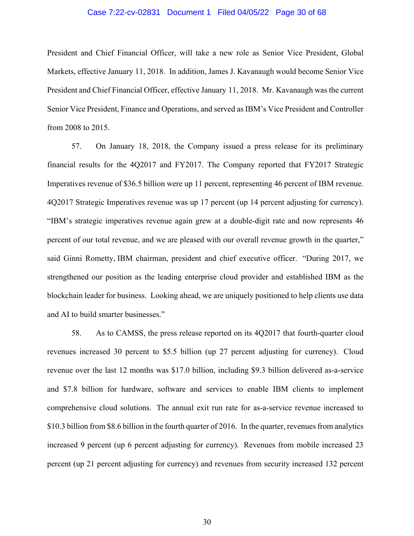#### Case 7:22-cv-02831 Document 1 Filed 04/05/22 Page 30 of 68

President and Chief Financial Officer, will take a new role as Senior Vice President, Global Markets, effective January 11, 2018. In addition, James J. Kavanaugh would become Senior Vice President and Chief Financial Officer, effective January 11, 2018. Mr. Kavanaugh was the current Senior Vice President, Finance and Operations, and served as IBM's Vice President and Controller from 2008 to 2015.

57. On January 18, 2018, the Company issued a press release for its preliminary financial results for the 4Q2017 and FY2017. The Company reported that FY2017 Strategic Imperatives revenue of \$36.5 billion were up 11 percent, representing 46 percent of IBM revenue. 4Q2017 Strategic Imperatives revenue was up 17 percent (up 14 percent adjusting for currency). "IBM's strategic imperatives revenue again grew at a double-digit rate and now represents 46 percent of our total revenue, and we are pleased with our overall revenue growth in the quarter," said Ginni Rometty, IBM chairman, president and chief executive officer. "During 2017, we strengthened our position as the leading enterprise cloud provider and established IBM as the blockchain leader for business. Looking ahead, we are uniquely positioned to help clients use data and AI to build smarter businesses."

58. As to CAMSS, the press release reported on its 4Q2017 that fourth-quarter cloud revenues increased 30 percent to \$5.5 billion (up 27 percent adjusting for currency). Cloud revenue over the last 12 months was \$17.0 billion, including \$9.3 billion delivered as-a-service and \$7.8 billion for hardware, software and services to enable IBM clients to implement comprehensive cloud solutions. The annual exit run rate for as-a-service revenue increased to \$10.3 billion from \$8.6 billion in the fourth quarter of 2016. In the quarter, revenues from analytics increased 9 percent (up 6 percent adjusting for currency). Revenues from mobile increased 23 percent (up 21 percent adjusting for currency) and revenues from security increased 132 percent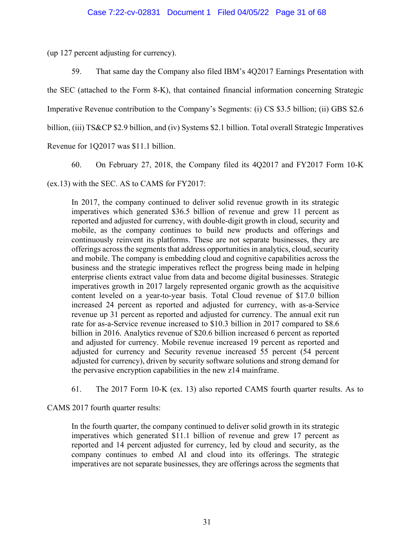(up 127 percent adjusting for currency).

59. That same day the Company also filed IBM's 4Q2017 Earnings Presentation with the SEC (attached to the Form 8-K), that contained financial information concerning Strategic Imperative Revenue contribution to the Company's Segments: (i) CS \$3.5 billion; (ii) GBS \$2.6 billion, (iii) TS&CP \$2.9 billion, and (iv) Systems \$2.1 billion. Total overall Strategic Imperatives Revenue for 1Q2017 was \$11.1 billion.

60. On February 27, 2018, the Company filed its 4Q2017 and FY2017 Form 10-K

(ex.13) with the SEC. AS to CAMS for FY2017:

In 2017, the company continued to deliver solid revenue growth in its strategic imperatives which generated \$36.5 billion of revenue and grew 11 percent as reported and adjusted for currency, with double-digit growth in cloud, security and mobile, as the company continues to build new products and offerings and continuously reinvent its platforms. These are not separate businesses, they are offerings across the segments that address opportunities in analytics, cloud, security and mobile. The company is embedding cloud and cognitive capabilities across the business and the strategic imperatives reflect the progress being made in helping enterprise clients extract value from data and become digital businesses. Strategic imperatives growth in 2017 largely represented organic growth as the acquisitive content leveled on a year-to-year basis. Total Cloud revenue of \$17.0 billion increased 24 percent as reported and adjusted for currency, with as-a-Service revenue up 31 percent as reported and adjusted for currency. The annual exit run rate for as-a-Service revenue increased to \$10.3 billion in 2017 compared to \$8.6 billion in 2016. Analytics revenue of \$20.6 billion increased 6 percent as reported and adjusted for currency. Mobile revenue increased 19 percent as reported and adjusted for currency and Security revenue increased 55 percent (54 percent adjusted for currency), driven by security software solutions and strong demand for the pervasive encryption capabilities in the new z14 mainframe.

61. The 2017 Form 10-K (ex. 13) also reported CAMS fourth quarter results. As to

CAMS 2017 fourth quarter results:

In the fourth quarter, the company continued to deliver solid growth in its strategic imperatives which generated \$11.1 billion of revenue and grew 17 percent as reported and 14 percent adjusted for currency, led by cloud and security, as the company continues to embed AI and cloud into its offerings. The strategic imperatives are not separate businesses, they are offerings across the segments that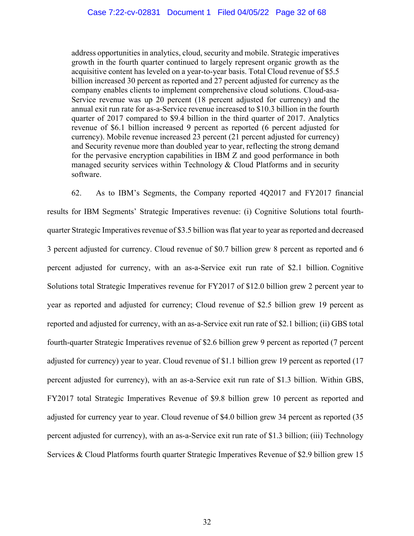address opportunities in analytics, cloud, security and mobile. Strategic imperatives growth in the fourth quarter continued to largely represent organic growth as the acquisitive content has leveled on a year-to-year basis. Total Cloud revenue of \$5.5 billion increased 30 percent as reported and 27 percent adjusted for currency as the company enables clients to implement comprehensive cloud solutions. Cloud-asa-Service revenue was up 20 percent (18 percent adjusted for currency) and the annual exit run rate for as-a-Service revenue increased to \$10.3 billion in the fourth quarter of 2017 compared to \$9.4 billion in the third quarter of 2017. Analytics revenue of \$6.1 billion increased 9 percent as reported (6 percent adjusted for currency). Mobile revenue increased 23 percent (21 percent adjusted for currency) and Security revenue more than doubled year to year, reflecting the strong demand for the pervasive encryption capabilities in IBM Z and good performance in both managed security services within Technology & Cloud Platforms and in security software.

62. As to IBM's Segments, the Company reported 4Q2017 and FY2017 financial results for IBM Segments' Strategic Imperatives revenue: (i) Cognitive Solutions total fourthquarter Strategic Imperatives revenue of \$3.5 billion was flat year to year as reported and decreased 3 percent adjusted for currency. Cloud revenue of \$0.7 billion grew 8 percent as reported and 6 percent adjusted for currency, with an as-a-Service exit run rate of \$2.1 billion. Cognitive Solutions total Strategic Imperatives revenue for FY2017 of \$12.0 billion grew 2 percent year to year as reported and adjusted for currency; Cloud revenue of \$2.5 billion grew 19 percent as reported and adjusted for currency, with an as-a-Service exit run rate of \$2.1 billion; (ii) GBS total fourth-quarter Strategic Imperatives revenue of \$2.6 billion grew 9 percent as reported (7 percent adjusted for currency) year to year. Cloud revenue of \$1.1 billion grew 19 percent as reported (17 percent adjusted for currency), with an as-a-Service exit run rate of \$1.3 billion. Within GBS, FY2017 total Strategic Imperatives Revenue of \$9.8 billion grew 10 percent as reported and adjusted for currency year to year. Cloud revenue of \$4.0 billion grew 34 percent as reported (35 percent adjusted for currency), with an as-a-Service exit run rate of \$1.3 billion; (iii) Technology Services & Cloud Platforms fourth quarter Strategic Imperatives Revenue of \$2.9 billion grew 15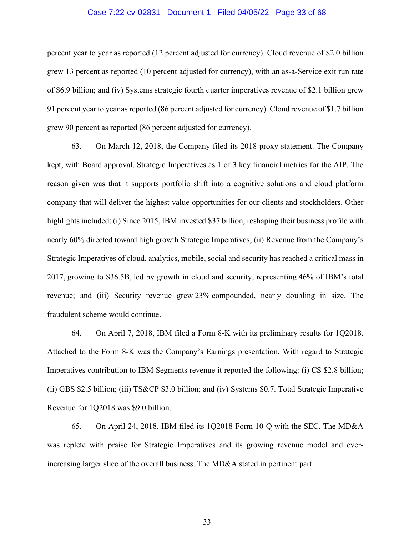#### Case 7:22-cv-02831 Document 1 Filed 04/05/22 Page 33 of 68

percent year to year as reported (12 percent adjusted for currency). Cloud revenue of \$2.0 billion grew 13 percent as reported (10 percent adjusted for currency), with an as-a-Service exit run rate of \$6.9 billion; and (iv) Systems strategic fourth quarter imperatives revenue of \$2.1 billion grew 91 percent year to year as reported (86 percent adjusted for currency). Cloud revenue of \$1.7 billion grew 90 percent as reported (86 percent adjusted for currency).

63. On March 12, 2018, the Company filed its 2018 proxy statement. The Company kept, with Board approval, Strategic Imperatives as 1 of 3 key financial metrics for the AIP. The reason given was that it supports portfolio shift into a cognitive solutions and cloud platform company that will deliver the highest value opportunities for our clients and stockholders. Other highlights included: (i) Since 2015, IBM invested \$37 billion, reshaping their business profile with nearly 60% directed toward high growth Strategic Imperatives; (ii) Revenue from the Company's Strategic Imperatives of cloud, analytics, mobile, social and security has reached a critical mass in 2017, growing to \$36.5B, led by growth in cloud and security, representing 46% of IBM's total revenue; and (iii) Security revenue grew 23% compounded, nearly doubling in size. The fraudulent scheme would continue.

64. On April 7, 2018, IBM filed a Form 8-K with its preliminary results for 1Q2018. Attached to the Form 8-K was the Company's Earnings presentation. With regard to Strategic Imperatives contribution to IBM Segments revenue it reported the following: (i) CS \$2.8 billion; (ii) GBS \$2.5 billion; (iii) TS&CP \$3.0 billion; and (iv) Systems \$0.7. Total Strategic Imperative Revenue for 1Q2018 was \$9.0 billion.

65. On April 24, 2018, IBM filed its 1Q2018 Form 10-Q with the SEC. The MD&A was replete with praise for Strategic Imperatives and its growing revenue model and everincreasing larger slice of the overall business. The MD&A stated in pertinent part:

33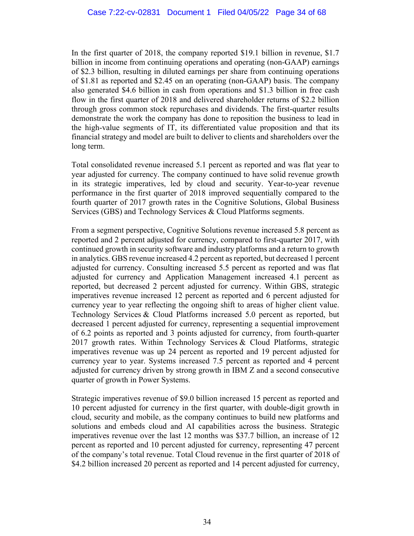In the first quarter of 2018, the company reported \$19.1 billion in revenue, \$1.7 billion in income from continuing operations and operating (non-GAAP) earnings of \$2.3 billion, resulting in diluted earnings per share from continuing operations of \$1.81 as reported and \$2.45 on an operating (non-GAAP) basis. The company also generated \$4.6 billion in cash from operations and \$1.3 billion in free cash flow in the first quarter of 2018 and delivered shareholder returns of \$2.2 billion through gross common stock repurchases and dividends. The first-quarter results demonstrate the work the company has done to reposition the business to lead in the high-value segments of IT, its differentiated value proposition and that its financial strategy and model are built to deliver to clients and shareholders over the long term.

Total consolidated revenue increased 5.1 percent as reported and was flat year to year adjusted for currency. The company continued to have solid revenue growth in its strategic imperatives, led by cloud and security. Year-to-year revenue performance in the first quarter of 2018 improved sequentially compared to the fourth quarter of 2017 growth rates in the Cognitive Solutions, Global Business Services (GBS) and Technology Services & Cloud Platforms segments.

From a segment perspective, Cognitive Solutions revenue increased 5.8 percent as reported and 2 percent adjusted for currency, compared to first-quarter 2017, with continued growth in security software and industry platforms and a return to growth in analytics. GBS revenue increased 4.2 percent asreported, but decreased 1 percent adjusted for currency. Consulting increased 5.5 percent as reported and was flat adjusted for currency and Application Management increased 4.1 percent as reported, but decreased 2 percent adjusted for currency. Within GBS, strategic imperatives revenue increased 12 percent as reported and 6 percent adjusted for currency year to year reflecting the ongoing shift to areas of higher client value. Technology Services & Cloud Platforms increased 5.0 percent as reported, but decreased 1 percent adjusted for currency, representing a sequential improvement of 6.2 points as reported and 3 points adjusted for currency, from fourth-quarter 2017 growth rates. Within Technology Services & Cloud Platforms, strategic imperatives revenue was up 24 percent as reported and 19 percent adjusted for currency year to year. Systems increased 7.5 percent as reported and 4 percent adjusted for currency driven by strong growth in IBM Z and a second consecutive quarter of growth in Power Systems.

Strategic imperatives revenue of \$9.0 billion increased 15 percent as reported and 10 percent adjusted for currency in the first quarter, with double-digit growth in cloud, security and mobile, as the company continues to build new platforms and solutions and embeds cloud and AI capabilities across the business. Strategic imperatives revenue over the last 12 months was \$37.7 billion, an increase of 12 percent as reported and 10 percent adjusted for currency, representing 47 percent of the company's total revenue. Total Cloud revenue in the first quarter of 2018 of \$4.2 billion increased 20 percent as reported and 14 percent adjusted for currency,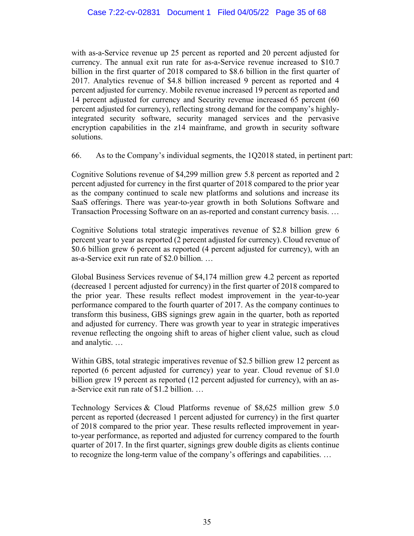with as-a-Service revenue up 25 percent as reported and 20 percent adjusted for currency. The annual exit run rate for as-a-Service revenue increased to \$10.7 billion in the first quarter of 2018 compared to \$8.6 billion in the first quarter of 2017. Analytics revenue of \$4.8 billion increased 9 percent as reported and 4 percent adjusted for currency. Mobile revenue increased 19 percent as reported and 14 percent adjusted for currency and Security revenue increased 65 percent (60 percent adjusted for currency), reflecting strong demand for the company's highlyintegrated security software, security managed services and the pervasive encryption capabilities in the z14 mainframe, and growth in security software solutions.

66. As to the Company's individual segments, the 1Q2018 stated, in pertinent part:

Cognitive Solutions revenue of \$4,299 million grew 5.8 percent as reported and 2 percent adjusted for currency in the first quarter of 2018 compared to the prior year as the company continued to scale new platforms and solutions and increase its SaaS offerings. There was year-to-year growth in both Solutions Software and Transaction Processing Software on an as-reported and constant currency basis. …

Cognitive Solutions total strategic imperatives revenue of \$2.8 billion grew 6 percent year to year as reported (2 percent adjusted for currency). Cloud revenue of \$0.6 billion grew 6 percent as reported (4 percent adjusted for currency), with an as-a-Service exit run rate of \$2.0 billion. …

Global Business Services revenue of \$4,174 million grew 4.2 percent as reported (decreased 1 percent adjusted for currency) in the first quarter of 2018 compared to the prior year. These results reflect modest improvement in the year-to-year performance compared to the fourth quarter of 2017. As the company continues to transform this business, GBS signings grew again in the quarter, both as reported and adjusted for currency. There was growth year to year in strategic imperatives revenue reflecting the ongoing shift to areas of higher client value, such as cloud and analytic. …

Within GBS, total strategic imperatives revenue of \$2.5 billion grew 12 percent as reported (6 percent adjusted for currency) year to year. Cloud revenue of \$1.0 billion grew 19 percent as reported (12 percent adjusted for currency), with an asa-Service exit run rate of \$1.2 billion. …

Technology Services & Cloud Platforms revenue of \$8,625 million grew 5.0 percent as reported (decreased 1 percent adjusted for currency) in the first quarter of 2018 compared to the prior year. These results reflected improvement in yearto-year performance, as reported and adjusted for currency compared to the fourth quarter of 2017. In the first quarter, signings grew double digits as clients continue to recognize the long-term value of the company's offerings and capabilities. …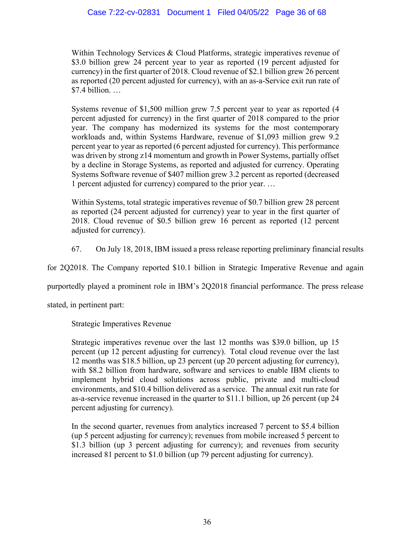Within Technology Services & Cloud Platforms, strategic imperatives revenue of \$3.0 billion grew 24 percent year to year as reported (19 percent adjusted for currency) in the first quarter of 2018. Cloud revenue of \$2.1 billion grew 26 percent as reported (20 percent adjusted for currency), with an as-a-Service exit run rate of \$7.4 billion. …

Systems revenue of \$1,500 million grew 7.5 percent year to year as reported (4 percent adjusted for currency) in the first quarter of 2018 compared to the prior year. The company has modernized its systems for the most contemporary workloads and, within Systems Hardware, revenue of \$1,093 million grew 9.2 percent year to year as reported (6 percent adjusted for currency). This performance was driven by strong z14 momentum and growth in Power Systems, partially offset by a decline in Storage Systems, as reported and adjusted for currency. Operating Systems Software revenue of \$407 million grew 3.2 percent as reported (decreased 1 percent adjusted for currency) compared to the prior year. …

Within Systems, total strategic imperatives revenue of \$0.7 billion grew 28 percent as reported (24 percent adjusted for currency) year to year in the first quarter of 2018. Cloud revenue of \$0.5 billion grew 16 percent as reported (12 percent adjusted for currency).

67. On July 18, 2018, IBM issued a press release reporting preliminary financial results

for 2Q2018. The Company reported \$10.1 billion in Strategic Imperative Revenue and again

purportedly played a prominent role in IBM's 2Q2018 financial performance. The press release

stated, in pertinent part:

Strategic Imperatives Revenue

Strategic imperatives revenue over the last 12 months was \$39.0 billion, up 15 percent (up 12 percent adjusting for currency). Total cloud revenue over the last 12 months was \$18.5 billion, up 23 percent (up 20 percent adjusting for currency), with \$8.2 billion from hardware, software and services to enable IBM clients to implement hybrid cloud solutions across public, private and multi-cloud environments, and \$10.4 billion delivered as a service. The annual exit run rate for as-a-service revenue increased in the quarter to \$11.1 billion, up 26 percent (up 24 percent adjusting for currency).

In the second quarter, revenues from analytics increased 7 percent to \$5.4 billion (up 5 percent adjusting for currency); revenues from mobile increased 5 percent to \$1.3 billion (up 3 percent adjusting for currency); and revenues from security increased 81 percent to \$1.0 billion (up 79 percent adjusting for currency).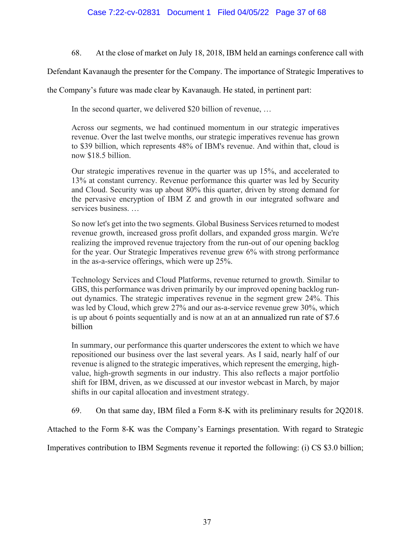## Case 7:22-cv-02831 Document 1 Filed 04/05/22 Page 37 of 68

68. At the close of market on July 18, 2018, IBM held an earnings conference call with

Defendant Kavanaugh the presenter for the Company. The importance of Strategic Imperatives to

the Company's future was made clear by Kavanaugh. He stated, in pertinent part:

In the second quarter, we delivered \$20 billion of revenue, …

Across our segments, we had continued momentum in our strategic imperatives revenue. Over the last twelve months, our strategic imperatives revenue has grown to \$39 billion, which represents 48% of IBM's revenue. And within that, cloud is now \$18.5 billion.

Our strategic imperatives revenue in the quarter was up 15%, and accelerated to 13% at constant currency. Revenue performance this quarter was led by Security and Cloud. Security was up about 80% this quarter, driven by strong demand for the pervasive encryption of IBM Z and growth in our integrated software and services business. …

So now let's get into the two segments. Global Business Services returned to modest revenue growth, increased gross profit dollars, and expanded gross margin. We're realizing the improved revenue trajectory from the run-out of our opening backlog for the year. Our Strategic Imperatives revenue grew 6% with strong performance in the as-a-service offerings, which were up 25%.

Technology Services and Cloud Platforms, revenue returned to growth. Similar to GBS, this performance was driven primarily by our improved opening backlog runout dynamics. The strategic imperatives revenue in the segment grew 24%. This was led by Cloud, which grew 27% and our as-a-service revenue grew 30%, which is up about 6 points sequentially and is now at an at an annualized run rate of \$7.6 billion

In summary, our performance this quarter underscores the extent to which we have repositioned our business over the last several years. As I said, nearly half of our revenue is aligned to the strategic imperatives, which represent the emerging, highvalue, high-growth segments in our industry. This also reflects a major portfolio shift for IBM, driven, as we discussed at our investor webcast in March, by major shifts in our capital allocation and investment strategy.

69. On that same day, IBM filed a Form 8-K with its preliminary results for 2Q2018.

Attached to the Form 8-K was the Company's Earnings presentation. With regard to Strategic

Imperatives contribution to IBM Segments revenue it reported the following: (i) CS \$3.0 billion;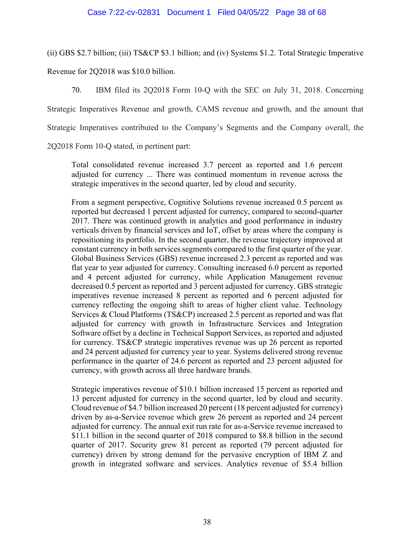## Case 7:22-cv-02831 Document 1 Filed 04/05/22 Page 38 of 68

(ii) GBS \$2.7 billion; (iii) TS&CP \$3.1 billion; and (iv) Systems \$1.2. Total Strategic Imperative

Revenue for 2Q2018 was \$10.0 billion.

70. IBM filed its 2Q2018 Form 10-Q with the SEC on July 31, 2018. Concerning Strategic Imperatives Revenue and growth, CAMS revenue and growth, and the amount that Strategic Imperatives contributed to the Company's Segments and the Company overall, the

2Q2018 Form 10-Q stated, in pertinent part:

Total consolidated revenue increased 3.7 percent as reported and 1.6 percent adjusted for currency ... There was continued momentum in revenue across the strategic imperatives in the second quarter, led by cloud and security.

From a segment perspective, Cognitive Solutions revenue increased 0.5 percent as reported but decreased 1 percent adjusted for currency, compared to second-quarter 2017. There was continued growth in analytics and good performance in industry verticals driven by financial services and IoT, offset by areas where the company is repositioning its portfolio. In the second quarter, the revenue trajectory improved at constant currency in both services segments compared to the first quarter of the year. Global Business Services (GBS) revenue increased 2.3 percent as reported and was flat year to year adjusted for currency. Consulting increased 6.0 percent as reported and 4 percent adjusted for currency, while Application Management revenue decreased 0.5 percent as reported and 3 percent adjusted for currency. GBS strategic imperatives revenue increased 8 percent as reported and 6 percent adjusted for currency reflecting the ongoing shift to areas of higher client value. Technology Services & Cloud Platforms (TS&CP) increased 2.5 percent as reported and was flat adjusted for currency with growth in Infrastructure Services and Integration Software offset by a decline in Technical Support Services, as reported and adjusted for currency. TS&CP strategic imperatives revenue was up 26 percent as reported and 24 percent adjusted for currency year to year. Systems delivered strong revenue performance in the quarter of 24.6 percent as reported and 23 percent adjusted for currency, with growth across all three hardware brands.

Strategic imperatives revenue of \$10.1 billion increased 15 percent as reported and 13 percent adjusted for currency in the second quarter, led by cloud and security. Cloud revenue of \$4.7 billion increased 20 percent (18 percent adjusted for currency) driven by as-a-Service revenue which grew 26 percent as reported and 24 percent adjusted for currency. The annual exit run rate for as-a-Service revenue increased to \$11.1 billion in the second quarter of 2018 compared to \$8.8 billion in the second quarter of 2017. Security grew 81 percent as reported (79 percent adjusted for currency) driven by strong demand for the pervasive encryption of IBM Z and growth in integrated software and services. Analytics revenue of \$5.4 billion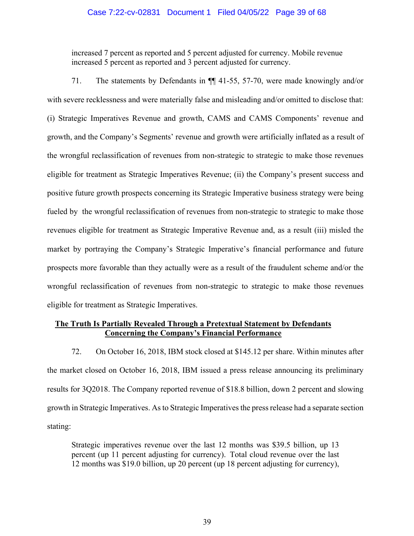## Case 7:22-cv-02831 Document 1 Filed 04/05/22 Page 39 of 68

increased 7 percent as reported and 5 percent adjusted for currency. Mobile revenue increased 5 percent as reported and 3 percent adjusted for currency.

71. The statements by Defendants in ¶¶ 41-55, 57-70, were made knowingly and/or with severe recklessness and were materially false and misleading and/or omitted to disclose that: (i) Strategic Imperatives Revenue and growth, CAMS and CAMS Components' revenue and growth, and the Company's Segments' revenue and growth were artificially inflated as a result of the wrongful reclassification of revenues from non-strategic to strategic to make those revenues eligible for treatment as Strategic Imperatives Revenue; (ii) the Company's present success and positive future growth prospects concerning its Strategic Imperative business strategy were being fueled by the wrongful reclassification of revenues from non-strategic to strategic to make those revenues eligible for treatment as Strategic Imperative Revenue and, as a result (iii) misled the market by portraying the Company's Strategic Imperative's financial performance and future prospects more favorable than they actually were as a result of the fraudulent scheme and/or the wrongful reclassification of revenues from non-strategic to strategic to make those revenues eligible for treatment as Strategic Imperatives.

## **The Truth Is Partially Revealed Through a Pretextual Statement by Defendants Concerning the Company's Financial Performance**

72. On October 16, 2018, IBM stock closed at \$145.12 per share. Within minutes after the market closed on October 16, 2018, IBM issued a press release announcing its preliminary results for 3Q2018. The Company reported revenue of \$18.8 billion, down 2 percent and slowing growth in Strategic Imperatives. As to Strategic Imperatives the press release had a separate section stating:

Strategic imperatives revenue over the last 12 months was \$39.5 billion, up 13 percent (up 11 percent adjusting for currency). Total cloud revenue over the last 12 months was \$19.0 billion, up 20 percent (up 18 percent adjusting for currency),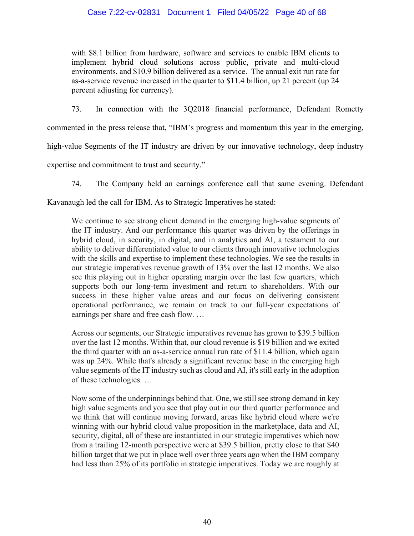# Case 7:22-cv-02831 Document 1 Filed 04/05/22 Page 40 of 68

with \$8.1 billion from hardware, software and services to enable IBM clients to implement hybrid cloud solutions across public, private and multi-cloud environments, and \$10.9 billion delivered as a service. The annual exit run rate for as-a-service revenue increased in the quarter to \$11.4 billion, up 21 percent (up 24 percent adjusting for currency).

73. In connection with the 3Q2018 financial performance, Defendant Rometty commented in the press release that, "IBM's progress and momentum this year in the emerging, high-value Segments of the IT industry are driven by our innovative technology, deep industry

expertise and commitment to trust and security."

74. The Company held an earnings conference call that same evening. Defendant

Kavanaugh led the call for IBM. As to Strategic Imperatives he stated:

We continue to see strong client demand in the emerging high-value segments of the IT industry. And our performance this quarter was driven by the offerings in hybrid cloud, in security, in digital, and in analytics and AI, a testament to our ability to deliver differentiated value to our clients through innovative technologies with the skills and expertise to implement these technologies. We see the results in our strategic imperatives revenue growth of 13% over the last 12 months. We also see this playing out in higher operating margin over the last few quarters, which supports both our long-term investment and return to shareholders. With our success in these higher value areas and our focus on delivering consistent operational performance, we remain on track to our full-year expectations of earnings per share and free cash flow. …

Across our segments, our Strategic imperatives revenue has grown to \$39.5 billion over the last 12 months. Within that, our cloud revenue is \$19 billion and we exited the third quarter with an as-a-service annual run rate of \$11.4 billion, which again was up 24%. While that's already a significant revenue base in the emerging high value segments of the IT industry such as cloud and AI, it's still early in the adoption of these technologies. …

Now some of the underpinnings behind that. One, we still see strong demand in key high value segments and you see that play out in our third quarter performance and we think that will continue moving forward, areas like hybrid cloud where we're winning with our hybrid cloud value proposition in the marketplace, data and AI, security, digital, all of these are instantiated in our strategic imperatives which now from a trailing 12-month perspective were at \$39.5 billion, pretty close to that \$40 billion target that we put in place well over three years ago when the IBM company had less than 25% of its portfolio in strategic imperatives. Today we are roughly at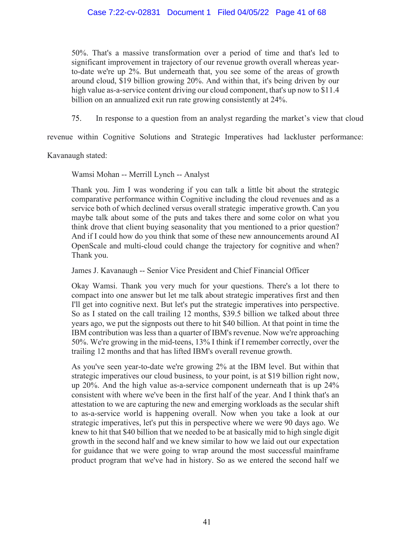50%. That's a massive transformation over a period of time and that's led to significant improvement in trajectory of our revenue growth overall whereas yearto-date we're up 2%. But underneath that, you see some of the areas of growth around cloud, \$19 billion growing 20%. And within that, it's being driven by our high value as-a-service content driving our cloud component, that's up now to \$11.4 billion on an annualized exit run rate growing consistently at 24%.

75. In response to a question from an analyst regarding the market's view that cloud

revenue within Cognitive Solutions and Strategic Imperatives had lackluster performance:

Kavanaugh stated:

Wamsi Mohan -- Merrill Lynch -- Analyst

Thank you. Jim I was wondering if you can talk a little bit about the strategic comparative performance within Cognitive including the cloud revenues and as a service both of which declined versus overall strategic imperative growth. Can you maybe talk about some of the puts and takes there and some color on what you think drove that client buying seasonality that you mentioned to a prior question? And if I could how do you think that some of these new announcements around AI OpenScale and multi-cloud could change the trajectory for cognitive and when? Thank you.

James J. Kavanaugh -- Senior Vice President and Chief Financial Officer

Okay Wamsi. Thank you very much for your questions. There's a lot there to compact into one answer but let me talk about strategic imperatives first and then I'll get into cognitive next. But let's put the strategic imperatives into perspective. So as I stated on the call trailing 12 months, \$39.5 billion we talked about three years ago, we put the signposts out there to hit \$40 billion. At that point in time the IBM contribution was less than a quarter of IBM's revenue. Now we're approaching 50%. We're growing in the mid-teens, 13% I think if I remember correctly, over the trailing 12 months and that has lifted IBM's overall revenue growth.

As you've seen year-to-date we're growing 2% at the IBM level. But within that strategic imperatives our cloud business, to your point, is at \$19 billion right now, up 20%. And the high value as-a-service component underneath that is up 24% consistent with where we've been in the first half of the year. And I think that's an attestation to we are capturing the new and emerging workloads as the secular shift to as-a-service world is happening overall. Now when you take a look at our strategic imperatives, let's put this in perspective where we were 90 days ago. We knew to hit that \$40 billion that we needed to be at basically mid to high single digit growth in the second half and we knew similar to how we laid out our expectation for guidance that we were going to wrap around the most successful mainframe product program that we've had in history. So as we entered the second half we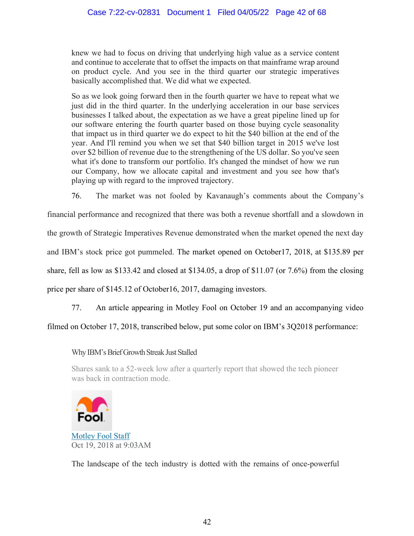knew we had to focus on driving that underlying high value as a service content and continue to accelerate that to offset the impacts on that mainframe wrap around on product cycle. And you see in the third quarter our strategic imperatives basically accomplished that. We did what we expected.

So as we look going forward then in the fourth quarter we have to repeat what we just did in the third quarter. In the underlying acceleration in our base services businesses I talked about, the expectation as we have a great pipeline lined up for our software entering the fourth quarter based on those buying cycle seasonality that impact us in third quarter we do expect to hit the \$40 billion at the end of the year. And I'll remind you when we set that \$40 billion target in 2015 we've lost over \$2 billion of revenue due to the strengthening of the US dollar. So you've seen what it's done to transform our portfolio. It's changed the mindset of how we run our Company, how we allocate capital and investment and you see how that's playing up with regard to the improved trajectory.

76. The market was not fooled by Kavanaugh's comments about the Company's

financial performance and recognized that there was both a revenue shortfall and a slowdown in the growth of Strategic Imperatives Revenue demonstrated when the market opened the next day and IBM's stock price got pummeled. The market opened on October17, 2018, at \$135.89 per share, fell as low as \$133.42 and closed at \$134.05, a drop of \$11.07 (or 7.6%) from the closing price per share of \$145.12 of October16, 2017, damaging investors.

77. An article appearing in Motley Fool on October 19 and an accompanying video

filmed on October 17, 2018, transcribed below, put some color on IBM's 3Q2018 performance:

Why IBM's Brief Growth Streak Just Stalled

Shares sank to a 52-week low after a quarterly report that showed the tech pioneer was back in contraction mode.



[Motley Fool Staff](https://www.fool.com/author/1282/) Oct 19, 2018 at 9:03AM

The landscape of the tech industry is dotted with the remains of once-powerful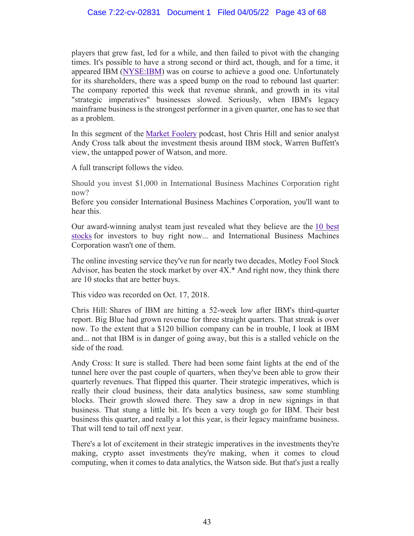players that grew fast, led for a while, and then failed to pivot with the changing times. It's possible to have a strong second or third act, though, and for a time, it appeared IBM [\(NYSE:IBM\)](https://www.fool.com/quote/nyse/international-business-machines-corporation/ibm/) was on course to achieve a good one. Unfortunately for its shareholders, there was a speed bump on the road to rebound last quarter: The company reported this week that revenue shrank, and growth in its vital "strategic imperatives" businesses slowed. Seriously, when IBM's legacy mainframe business is the strongest performer in a given quarter, one has to see that as a problem.

In this segment of the [Market Foolery](https://www.fool.com/podcasts/marketfoolery/) podcast, host Chris Hill and senior analyst Andy Cross talk about the investment thesis around IBM stock, Warren Buffett's view, the untapped power of Watson, and more.

A full transcript follows the video.

Should you invest \$1,000 in International Business Machines Corporation right now?

Before you consider International Business Machines Corporation, you'll want to hear this.

Our award-winning analyst team just revealed what they believe are the [10 best](https://api.fool.com/infotron/infotrack/click?apikey=35527423-a535-4519-a07f-20014582e03e&impression=b2e5708e-8dcd-46e8-afd3-53facb74328e&url=https%3A%2F%2Fwww.fool.com%2Fmms%2Fmark%2Fe-foolcom-sa-bbn-dyn%3Faid%3D8867%26source%3Disaeditxt0000713%26company%3DInternational%2520Business%2520Machines%2520Corporation%26ftm_mes%3Dfoolcom-sa-bbn-dyn-International%2520Business%2520Machines%2520Corporation%26ftm_cam%3Dsa-bbn-evergreen%26ftm_veh%3Darticle_pitch%26ftm_pit%3D9316)  [stocks](https://api.fool.com/infotron/infotrack/click?apikey=35527423-a535-4519-a07f-20014582e03e&impression=b2e5708e-8dcd-46e8-afd3-53facb74328e&url=https%3A%2F%2Fwww.fool.com%2Fmms%2Fmark%2Fe-foolcom-sa-bbn-dyn%3Faid%3D8867%26source%3Disaeditxt0000713%26company%3DInternational%2520Business%2520Machines%2520Corporation%26ftm_mes%3Dfoolcom-sa-bbn-dyn-International%2520Business%2520Machines%2520Corporation%26ftm_cam%3Dsa-bbn-evergreen%26ftm_veh%3Darticle_pitch%26ftm_pit%3D9316) for investors to buy right now... and International Business Machines Corporation wasn't one of them.

The online investing service they've run for nearly two decades, Motley Fool Stock Advisor, has beaten the stock market by over  $4X^*$  And right now, they think there are 10 stocks that are better buys.

This video was recorded on Oct. 17, 2018.

Chris Hill: Shares of IBM are hitting a 52-week low after IBM's third-quarter report. Big Blue had grown revenue for three straight quarters. That streak is over now. To the extent that a \$120 billion company can be in trouble, I look at IBM and... not that IBM is in danger of going away, but this is a stalled vehicle on the side of the road.

Andy Cross: It sure is stalled. There had been some faint lights at the end of the tunnel here over the past couple of quarters, when they've been able to grow their quarterly revenues. That flipped this quarter. Their strategic imperatives, which is really their cloud business, their data analytics business, saw some stumbling blocks. Their growth slowed there. They saw a drop in new signings in that business. That stung a little bit. It's been a very tough go for IBM. Their best business this quarter, and really a lot this year, is their legacy mainframe business. That will tend to tail off next year.

There's a lot of excitement in their strategic imperatives in the investments they're making, crypto asset investments they're making, when it comes to cloud computing, when it comes to data analytics, the Watson side. But that's just a really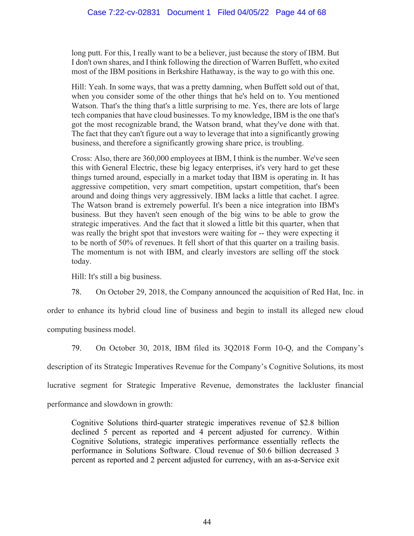long putt. For this, I really want to be a believer, just because the story of IBM. But I don't own shares, and I think following the direction of Warren Buffett, who exited most of the IBM positions in Berkshire Hathaway, is the way to go with this one.

Hill: Yeah. In some ways, that was a pretty damning, when Buffett sold out of that, when you consider some of the other things that he's held on to. You mentioned Watson. That's the thing that's a little surprising to me. Yes, there are lots of large tech companies that have cloud businesses. To my knowledge, IBM is the one that's got the most recognizable brand, the Watson brand, what they've done with that. The fact that they can't figure out a way to leverage that into a significantly growing business, and therefore a significantly growing share price, is troubling.

Cross: Also, there are 360,000 employees at IBM, I think is the number. We've seen this with General Electric, these big legacy enterprises, it's very hard to get these things turned around, especially in a market today that IBM is operating in. It has aggressive competition, very smart competition, upstart competition, that's been around and doing things very aggressively. IBM lacks a little that cachet. I agree. The Watson brand is extremely powerful. It's been a nice integration into IBM's business. But they haven't seen enough of the big wins to be able to grow the strategic imperatives. And the fact that it slowed a little bit this quarter, when that was really the bright spot that investors were waiting for -- they were expecting it to be north of 50% of revenues. It fell short of that this quarter on a trailing basis. The momentum is not with IBM, and clearly investors are selling off the stock today.

Hill: It's still a big business.

78. On October 29, 2018, the Company announced the acquisition of Red Hat, Inc. in

order to enhance its hybrid cloud line of business and begin to install its alleged new cloud computing business model.

79. On October 30, 2018, IBM filed its 3Q2018 Form 10-Q, and the Company's

description of its Strategic Imperatives Revenue for the Company's Cognitive Solutions, its most

lucrative segment for Strategic Imperative Revenue, demonstrates the lackluster financial

performance and slowdown in growth:

Cognitive Solutions third-quarter strategic imperatives revenue of \$2.8 billion declined 5 percent as reported and 4 percent adjusted for currency. Within Cognitive Solutions, strategic imperatives performance essentially reflects the performance in Solutions Software. Cloud revenue of \$0.6 billion decreased 3 percent as reported and 2 percent adjusted for currency, with an as-a-Service exit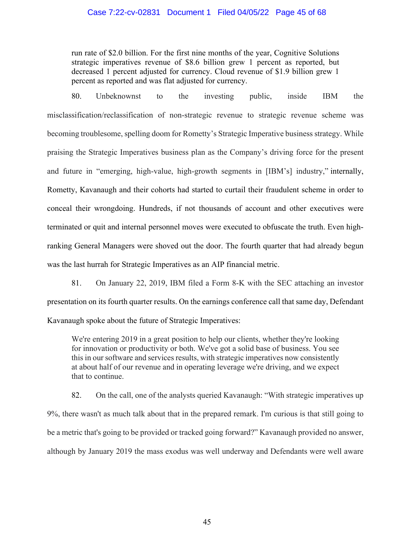## Case 7:22-cv-02831 Document 1 Filed 04/05/22 Page 45 of 68

run rate of \$2.0 billion. For the first nine months of the year, Cognitive Solutions strategic imperatives revenue of \$8.6 billion grew 1 percent as reported, but decreased 1 percent adjusted for currency. Cloud revenue of \$1.9 billion grew 1 percent as reported and was flat adjusted for currency.

80. Unbeknownst to the investing public, inside IBM the misclassification/reclassification of non-strategic revenue to strategic revenue scheme was becoming troublesome, spelling doom for Rometty's Strategic Imperative business strategy. While praising the Strategic Imperatives business plan as the Company's driving force for the present and future in "emerging, high-value, high-growth segments in [IBM's] industry," internally, Rometty, Kavanaugh and their cohorts had started to curtail their fraudulent scheme in order to conceal their wrongdoing. Hundreds, if not thousands of account and other executives were terminated or quit and internal personnel moves were executed to obfuscate the truth. Even highranking General Managers were shoved out the door. The fourth quarter that had already begun was the last hurrah for Strategic Imperatives as an AIP financial metric.

81. On January 22, 2019, IBM filed a Form 8-K with the SEC attaching an investor presentation on its fourth quarter results. On the earnings conference call that same day, Defendant Kavanaugh spoke about the future of Strategic Imperatives:

We're entering 2019 in a great position to help our clients, whether they're looking for innovation or productivity or both. We've got a solid base of business. You see this in our software and services results, with strategic imperatives now consistently at about half of our revenue and in operating leverage we're driving, and we expect that to continue.

82. On the call, one of the analysts queried Kavanaugh: "With strategic imperatives up 9%, there wasn't as much talk about that in the prepared remark. I'm curious is that still going to be a metric that's going to be provided or tracked going forward?" Kavanaugh provided no answer, although by January 2019 the mass exodus was well underway and Defendants were well aware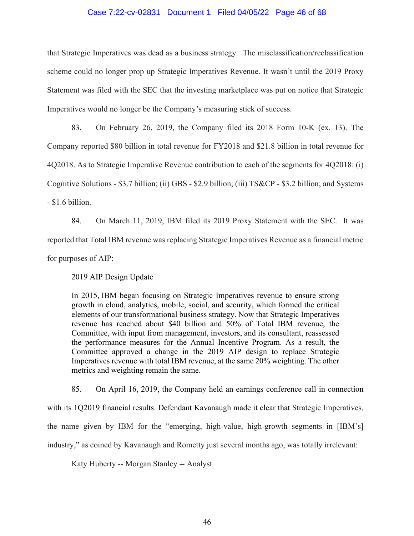#### Case 7:22-cv-02831 Document 1 Filed 04/05/22 Page 46 of 68

that Strategic Imperatives was dead as a business strategy. The misclassification/reclassification scheme could no longer prop up Strategic Imperatives Revenue. It wasn't until the 2019 Proxy Statement was filed with the SEC that the investing marketplace was put on notice that Strategic Imperatives would no longer be the Company's measuring stick of success.

83. On February 26, 2019, the Company filed its 2018 Form 10-K (ex. 13). The Company reported \$80 billion in total revenue for FY2018 and \$21.8 billion in total revenue for 4Q2018. As to Strategic Imperative Revenue contribution to each of the segments for 4Q2018: (i) Cognitive Solutions - \$3.7 billion; (ii) GBS - \$2.9 billion; (iii) TS&CP - \$3.2 billion; and Systems - \$1.6 billion.

84. On March 11, 2019, IBM filed its 2019 Proxy Statement with the SEC. It was reported that Total IBM revenue was replacing Strategic Imperatives Revenue as a financial metric for purposes of AIP:

2019 AIP Design Update

In 2015, IBM began focusing on Strategic Imperatives revenue to ensure strong growth in cloud, analytics, mobile, social, and security, which formed the critical elements of our transformational business strategy. Now that Strategic Imperatives revenue has reached about \$40 billion and 50% of Total IBM revenue, the Committee, with input from management, investors, and its consultant, reassessed the performance measures for the Annual Incentive Program. As a result, the Committee approved a change in the 2019 AIP design to replace Strategic Imperatives revenue with total IBM revenue, at the same 20% weighting. The other metrics and weighting remain the same.

85. On April 16, 2019, the Company held an earnings conference call in connection with its 1Q2019 financial results. Defendant Kavanaugh made it clear that Strategic Imperatives, the name given by IBM for the "emerging, high-value, high-growth segments in [IBM's] industry," as coined by Kavanaugh and Rometty just several months ago, was totally irrelevant:

Katy Huberty -- Morgan Stanley -- Analyst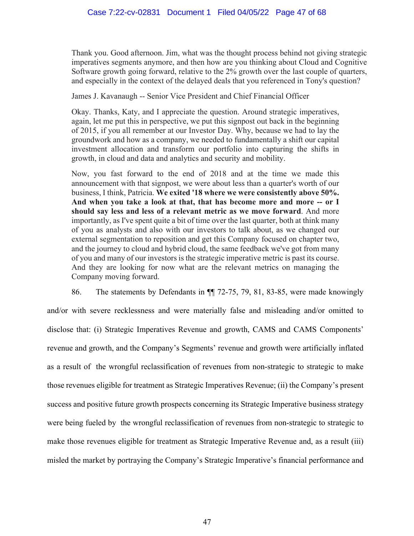Thank you. Good afternoon. Jim, what was the thought process behind not giving strategic imperatives segments anymore, and then how are you thinking about Cloud and Cognitive Software growth going forward, relative to the 2% growth over the last couple of quarters, and especially in the context of the delayed deals that you referenced in Tony's question?

James J. Kavanaugh -- Senior Vice President and Chief Financial Officer

Okay. Thanks, Katy, and I appreciate the question. Around strategic imperatives, again, let me put this in perspective, we put this signpost out back in the beginning of 2015, if you all remember at our Investor Day. Why, because we had to lay the groundwork and how as a company, we needed to fundamentally a shift our capital investment allocation and transform our portfolio into capturing the shifts in growth, in cloud and data and analytics and security and mobility.

Now, you fast forward to the end of 2018 and at the time we made this announcement with that signpost, we were about less than a quarter's worth of our business, I think, Patricia. **We exited '18 where we were consistently above 50%. And when you take a look at that, that has become more and more -- or I should say less and less of a relevant metric as we move forward**. And more importantly, as I've spent quite a bit of time over the last quarter, both at think many of you as analysts and also with our investors to talk about, as we changed our external segmentation to reposition and get this Company focused on chapter two, and the journey to cloud and hybrid cloud, the same feedback we've got from many of you and many of our investors is the strategic imperative metric is past its course. And they are looking for now what are the relevant metrics on managing the Company moving forward.

86. The statements by Defendants in ¶¶ 72-75, 79, 81, 83-85, were made knowingly and/or with severe recklessness and were materially false and misleading and/or omitted to disclose that: (i) Strategic Imperatives Revenue and growth, CAMS and CAMS Components' revenue and growth, and the Company's Segments' revenue and growth were artificially inflated as a result of the wrongful reclassification of revenues from non-strategic to strategic to make those revenues eligible for treatment as Strategic Imperatives Revenue; (ii) the Company's present success and positive future growth prospects concerning its Strategic Imperative business strategy were being fueled by the wrongful reclassification of revenues from non-strategic to strategic to make those revenues eligible for treatment as Strategic Imperative Revenue and, as a result (iii) misled the market by portraying the Company's Strategic Imperative's financial performance and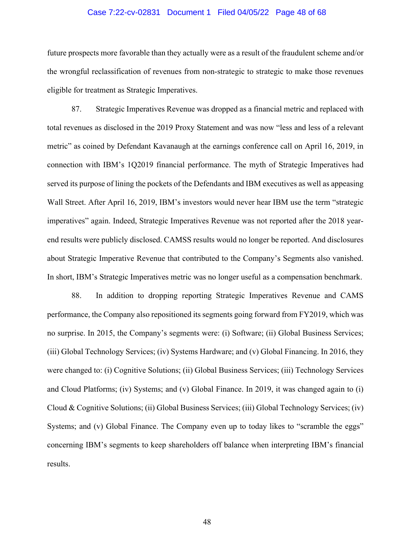#### Case 7:22-cv-02831 Document 1 Filed 04/05/22 Page 48 of 68

future prospects more favorable than they actually were as a result of the fraudulent scheme and/or the wrongful reclassification of revenues from non-strategic to strategic to make those revenues eligible for treatment as Strategic Imperatives.

87. Strategic Imperatives Revenue was dropped as a financial metric and replaced with total revenues as disclosed in the 2019 Proxy Statement and was now "less and less of a relevant metric" as coined by Defendant Kavanaugh at the earnings conference call on April 16, 2019, in connection with IBM's 1Q2019 financial performance. The myth of Strategic Imperatives had served its purpose of lining the pockets of the Defendants and IBM executives as well as appeasing Wall Street. After April 16, 2019, IBM's investors would never hear IBM use the term "strategic imperatives" again. Indeed, Strategic Imperatives Revenue was not reported after the 2018 yearend results were publicly disclosed. CAMSS results would no longer be reported. And disclosures about Strategic Imperative Revenue that contributed to the Company's Segments also vanished. In short, IBM's Strategic Imperatives metric was no longer useful as a compensation benchmark.

88. In addition to dropping reporting Strategic Imperatives Revenue and CAMS performance, the Company also repositioned its segments going forward from FY2019, which was no surprise. In 2015, the Company's segments were: (i) Software; (ii) Global Business Services; (iii) Global Technology Services; (iv) Systems Hardware; and (v) Global Financing. In 2016, they were changed to: (i) Cognitive Solutions; (ii) Global Business Services; (iii) Technology Services and Cloud Platforms; (iv) Systems; and (v) Global Finance. In 2019, it was changed again to (i) Cloud & Cognitive Solutions; (ii) Global Business Services; (iii) Global Technology Services; (iv) Systems; and (v) Global Finance. The Company even up to today likes to "scramble the eggs" concerning IBM's segments to keep shareholders off balance when interpreting IBM's financial results.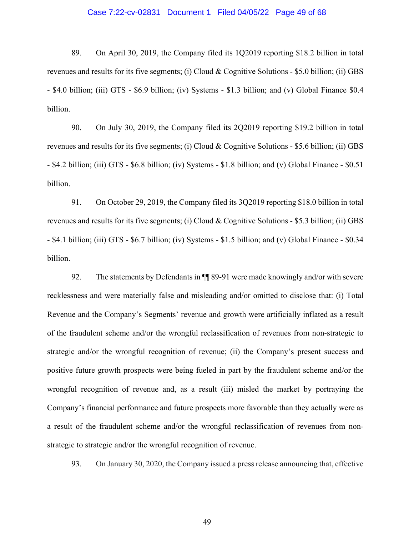#### Case 7:22-cv-02831 Document 1 Filed 04/05/22 Page 49 of 68

89. On April 30, 2019, the Company filed its 1Q2019 reporting \$18.2 billion in total revenues and results for its five segments; (i) Cloud & Cognitive Solutions - \$5.0 billion; (ii) GBS - \$4.0 billion; (iii) GTS - \$6.9 billion; (iv) Systems - \$1.3 billion; and (v) Global Finance \$0.4 billion.

90. On July 30, 2019, the Company filed its 2Q2019 reporting \$19.2 billion in total revenues and results for its five segments; (i) Cloud & Cognitive Solutions - \$5.6 billion; (ii) GBS - \$4.2 billion; (iii) GTS - \$6.8 billion; (iv) Systems - \$1.8 billion; and (v) Global Finance - \$0.51 billion.

91. On October 29, 2019, the Company filed its 3Q2019 reporting \$18.0 billion in total revenues and results for its five segments; (i) Cloud & Cognitive Solutions - \$5.3 billion; (ii) GBS - \$4.1 billion; (iii) GTS - \$6.7 billion; (iv) Systems - \$1.5 billion; and (v) Global Finance - \$0.34 billion.

92. The statements by Defendants in ¶¶ 89-91 were made knowingly and/or with severe recklessness and were materially false and misleading and/or omitted to disclose that: (i) Total Revenue and the Company's Segments' revenue and growth were artificially inflated as a result of the fraudulent scheme and/or the wrongful reclassification of revenues from non-strategic to strategic and/or the wrongful recognition of revenue; (ii) the Company's present success and positive future growth prospects were being fueled in part by the fraudulent scheme and/or the wrongful recognition of revenue and, as a result (iii) misled the market by portraying the Company's financial performance and future prospects more favorable than they actually were as a result of the fraudulent scheme and/or the wrongful reclassification of revenues from nonstrategic to strategic and/or the wrongful recognition of revenue.

93. On January 30, 2020, the Company issued a press release announcing that, effective

49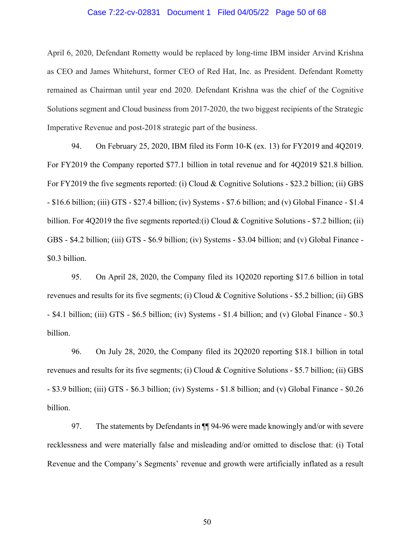#### Case 7:22-cv-02831 Document 1 Filed 04/05/22 Page 50 of 68

April 6, 2020, Defendant Rometty would be replaced by long-time IBM insider Arvind Krishna as CEO and James Whitehurst, former CEO of Red Hat, Inc. as President. Defendant Rometty remained as Chairman until year end 2020. Defendant Krishna was the chief of the Cognitive Solutions segment and Cloud business from 2017-2020, the two biggest recipients of the Strategic Imperative Revenue and post-2018 strategic part of the business.

94. On February 25, 2020, IBM filed its Form 10-K (ex. 13) for FY2019 and 4Q2019. For FY2019 the Company reported \$77.1 billion in total revenue and for 4Q2019 \$21.8 billion. For FY2019 the five segments reported: (i) Cloud & Cognitive Solutions - \$23.2 billion; (ii) GBS - \$16.6 billion; (iii) GTS - \$27.4 billion; (iv) Systems - \$7.6 billion; and (v) Global Finance - \$1.4 billion. For 4Q2019 the five segments reported: (i) Cloud & Cognitive Solutions - \$7.2 billion; (ii) GBS - \$4.2 billion; (iii) GTS - \$6.9 billion; (iv) Systems - \$3.04 billion; and (v) Global Finance - \$0.3 billion.

95. On April 28, 2020, the Company filed its 1Q2020 reporting \$17.6 billion in total revenues and results for its five segments; (i) Cloud & Cognitive Solutions - \$5.2 billion; (ii) GBS - \$4.1 billion; (iii) GTS - \$6.5 billion; (iv) Systems - \$1.4 billion; and (v) Global Finance - \$0.3 billion.

96. On July 28, 2020, the Company filed its 2Q2020 reporting \$18.1 billion in total revenues and results for its five segments; (i) Cloud & Cognitive Solutions - \$5.7 billion; (ii) GBS - \$3.9 billion; (iii) GTS - \$6.3 billion; (iv) Systems - \$1.8 billion; and (v) Global Finance - \$0.26 billion.

97. The statements by Defendants in  $\P$  94-96 were made knowingly and/or with severe recklessness and were materially false and misleading and/or omitted to disclose that: (i) Total Revenue and the Company's Segments' revenue and growth were artificially inflated as a result

50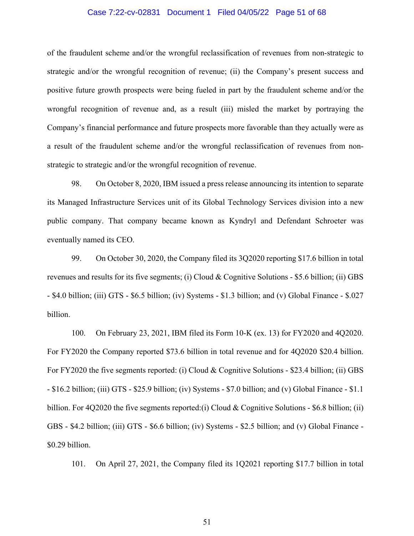#### Case 7:22-cv-02831 Document 1 Filed 04/05/22 Page 51 of 68

of the fraudulent scheme and/or the wrongful reclassification of revenues from non-strategic to strategic and/or the wrongful recognition of revenue; (ii) the Company's present success and positive future growth prospects were being fueled in part by the fraudulent scheme and/or the wrongful recognition of revenue and, as a result (iii) misled the market by portraying the Company's financial performance and future prospects more favorable than they actually were as a result of the fraudulent scheme and/or the wrongful reclassification of revenues from nonstrategic to strategic and/or the wrongful recognition of revenue.

98. On October 8, 2020, IBM issued a press release announcing its intention to separate its Managed Infrastructure Services unit of its Global Technology Services division into a new public company. That company became known as Kyndryl and Defendant Schroeter was eventually named its CEO.

99. On October 30, 2020, the Company filed its 3Q2020 reporting \$17.6 billion in total revenues and results for its five segments; (i) Cloud & Cognitive Solutions - \$5.6 billion; (ii) GBS - \$4.0 billion; (iii) GTS - \$6.5 billion; (iv) Systems - \$1.3 billion; and (v) Global Finance - \$.027 billion.

100. On February 23, 2021, IBM filed its Form 10-K (ex. 13) for FY2020 and 4Q2020. For FY2020 the Company reported \$73.6 billion in total revenue and for 4Q2020 \$20.4 billion. For FY2020 the five segments reported: (i) Cloud & Cognitive Solutions - \$23.4 billion; (ii) GBS - \$16.2 billion; (iii) GTS - \$25.9 billion; (iv) Systems - \$7.0 billion; and (v) Global Finance - \$1.1 billion. For 4Q2020 the five segments reported: (i) Cloud & Cognitive Solutions - \$6.8 billion; (ii) GBS - \$4.2 billion; (iii) GTS - \$6.6 billion; (iv) Systems - \$2.5 billion; and (v) Global Finance - \$0.29 billion.

101. On April 27, 2021, the Company filed its 1Q2021 reporting \$17.7 billion in total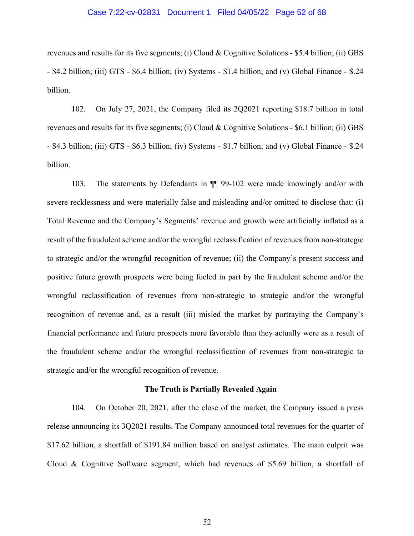#### Case 7:22-cv-02831 Document 1 Filed 04/05/22 Page 52 of 68

revenues and results for its five segments; (i) Cloud & Cognitive Solutions - \$5.4 billion; (ii) GBS - \$4.2 billion; (iii) GTS - \$6.4 billion; (iv) Systems - \$1.4 billion; and (v) Global Finance - \$.24 billion.

102. On July 27, 2021, the Company filed its 2Q2021 reporting \$18.7 billion in total revenues and results for its five segments; (i) Cloud & Cognitive Solutions - \$6.1 billion; (ii) GBS - \$4.3 billion; (iii) GTS - \$6.3 billion; (iv) Systems - \$1.7 billion; and (v) Global Finance - \$.24 billion.

103. The statements by Defendants in ¶¶ 99-102 were made knowingly and/or with severe recklessness and were materially false and misleading and/or omitted to disclose that: (i) Total Revenue and the Company's Segments' revenue and growth were artificially inflated as a result of the fraudulent scheme and/or the wrongful reclassification of revenues from non-strategic to strategic and/or the wrongful recognition of revenue; (ii) the Company's present success and positive future growth prospects were being fueled in part by the fraudulent scheme and/or the wrongful reclassification of revenues from non-strategic to strategic and/or the wrongful recognition of revenue and, as a result (iii) misled the market by portraying the Company's financial performance and future prospects more favorable than they actually were as a result of the fraudulent scheme and/or the wrongful reclassification of revenues from non-strategic to strategic and/or the wrongful recognition of revenue.

### **The Truth is Partially Revealed Again**

104. On October 20, 2021, after the close of the market, the Company issued a press release announcing its 3Q2021 results. The Company announced total revenues for the quarter of \$17.62 billion, a shortfall of \$191.84 million based on analyst estimates. The main culprit was Cloud & Cognitive Software segment, which had revenues of \$5.69 billion, a shortfall of

52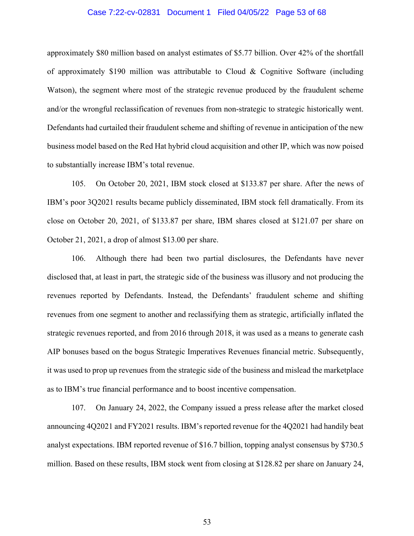#### Case 7:22-cv-02831 Document 1 Filed 04/05/22 Page 53 of 68

approximately \$80 million based on analyst estimates of \$5.77 billion. Over 42% of the shortfall of approximately \$190 million was attributable to Cloud & Cognitive Software (including Watson), the segment where most of the strategic revenue produced by the fraudulent scheme and/or the wrongful reclassification of revenues from non-strategic to strategic historically went. Defendants had curtailed their fraudulent scheme and shifting of revenue in anticipation of the new business model based on the Red Hat hybrid cloud acquisition and other IP, which was now poised to substantially increase IBM's total revenue.

105. On October 20, 2021, IBM stock closed at \$133.87 per share. After the news of IBM's poor 3Q2021 results became publicly disseminated, IBM stock fell dramatically. From its close on October 20, 2021, of \$133.87 per share, IBM shares closed at \$121.07 per share on October 21, 2021, a drop of almost \$13.00 per share.

106. Although there had been two partial disclosures, the Defendants have never disclosed that, at least in part, the strategic side of the business was illusory and not producing the revenues reported by Defendants. Instead, the Defendants' fraudulent scheme and shifting revenues from one segment to another and reclassifying them as strategic, artificially inflated the strategic revenues reported, and from 2016 through 2018, it was used as a means to generate cash AIP bonuses based on the bogus Strategic Imperatives Revenues financial metric. Subsequently, it was used to prop up revenues from the strategic side of the business and mislead the marketplace as to IBM's true financial performance and to boost incentive compensation.

107. On January 24, 2022, the Company issued a press release after the market closed announcing 4Q2021 and FY2021 results. IBM's reported revenue for the 4Q2021 had handily beat analyst expectations. IBM reported revenue of \$16.7 billion, topping analyst consensus by \$730.5 million. Based on these results, IBM stock went from closing at \$128.82 per share on January 24,

53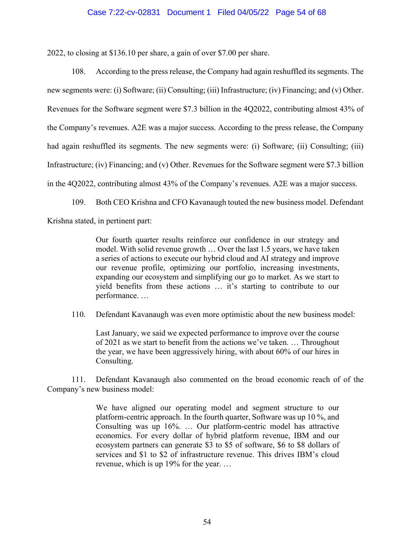## Case 7:22-cv-02831 Document 1 Filed 04/05/22 Page 54 of 68

2022, to closing at \$136.10 per share, a gain of over \$7.00 per share.

108. According to the press release, the Company had again reshuffled its segments. The new segments were: (i) Software; (ii) Consulting; (iii) Infrastructure; (iv) Financing; and (v) Other. Revenues for the Software segment were \$7.3 billion in the 4Q2022, contributing almost 43% of the Company's revenues. A2E was a major success. According to the press release, the Company had again reshuffled its segments. The new segments were: (i) Software; (ii) Consulting; (iii) Infrastructure; (iv) Financing; and (v) Other. Revenues for the Software segment were \$7.3 billion in the 4Q2022, contributing almost 43% of the Company's revenues. A2E was a major success.

109. Both CEO Krishna and CFO Kavanaugh touted the new business model. Defendant

Krishna stated, in pertinent part:

Our fourth quarter results reinforce our confidence in our strategy and model. With solid revenue growth … Over the last 1.5 years, we have taken a series of actions to execute our hybrid cloud and AI strategy and improve our revenue profile, optimizing our portfolio, increasing investments, expanding our ecosystem and simplifying our go to market. As we start to yield benefits from these actions … it's starting to contribute to our performance. …

110. Defendant Kavanaugh was even more optimistic about the new business model:

Last January, we said we expected performance to improve over the course of 2021 as we start to benefit from the actions we've taken. … Throughout the year, we have been aggressively hiring, with about 60% of our hires in Consulting.

111. Defendant Kavanaugh also commented on the broad economic reach of of the Company's new business model:

> We have aligned our operating model and segment structure to our platform-centric approach. In the fourth quarter, Software was up 10 %, and Consulting was up 16%. … Our platform-centric model has attractive economics. For every dollar of hybrid platform revenue, IBM and our ecosystem partners can generate \$3 to \$5 of software, \$6 to \$8 dollars of services and \$1 to \$2 of infrastructure revenue. This drives IBM's cloud revenue, which is up 19% for the year. …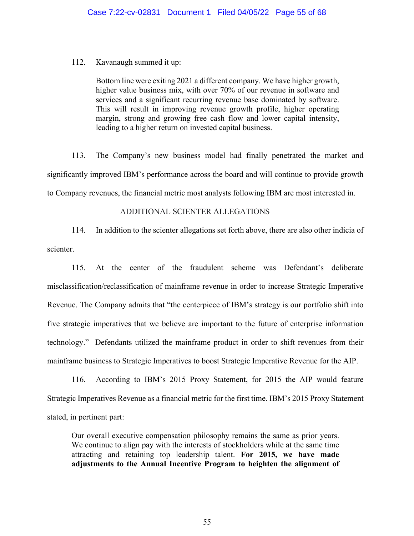## 112. Kavanaugh summed it up:

Bottom line were exiting 2021 a different company. We have higher growth, higher value business mix, with over 70% of our revenue in software and services and a significant recurring revenue base dominated by software. This will result in improving revenue growth profile, higher operating margin, strong and growing free cash flow and lower capital intensity, leading to a higher return on invested capital business.

113. The Company's new business model had finally penetrated the market and significantly improved IBM's performance across the board and will continue to provide growth to Company revenues, the financial metric most analysts following IBM are most interested in.

## ADDITIONAL SCIENTER ALLEGATIONS

114. In addition to the scienter allegations set forth above, there are also other indicia of scienter.

115. At the center of the fraudulent scheme was Defendant's deliberate misclassification/reclassification of mainframe revenue in order to increase Strategic Imperative Revenue. The Company admits that "the centerpiece of IBM's strategy is our portfolio shift into five strategic imperatives that we believe are important to the future of enterprise information technology." Defendants utilized the mainframe product in order to shift revenues from their mainframe business to Strategic Imperatives to boost Strategic Imperative Revenue for the AIP.

116. According to IBM's 2015 Proxy Statement, for 2015 the AIP would feature Strategic Imperatives Revenue as a financial metric for the first time. IBM's 2015 Proxy Statement stated, in pertinent part:

Our overall executive compensation philosophy remains the same as prior years. We continue to align pay with the interests of stockholders while at the same time attracting and retaining top leadership talent. **For 2015, we have made adjustments to the Annual Incentive Program to heighten the alignment of**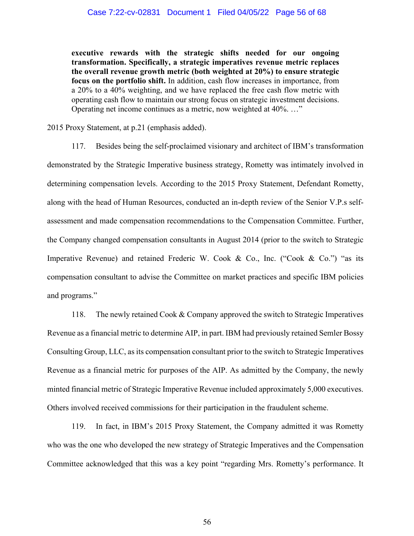**executive rewards with the strategic shifts needed for our ongoing transformation. Specifically, a strategic imperatives revenue metric replaces the overall revenue growth metric (both weighted at 20%) to ensure strategic focus on the portfolio shift.** In addition, cash flow increases in importance, from a 20% to a 40% weighting, and we have replaced the free cash flow metric with operating cash flow to maintain our strong focus on strategic investment decisions. Operating net income continues as a metric, now weighted at 40%. …"

2015 Proxy Statement, at p.21 (emphasis added).

117. Besides being the self-proclaimed visionary and architect of IBM's transformation demonstrated by the Strategic Imperative business strategy, Rometty was intimately involved in determining compensation levels. According to the 2015 Proxy Statement, Defendant Rometty, along with the head of Human Resources, conducted an in-depth review of the Senior V.P.s selfassessment and made compensation recommendations to the Compensation Committee. Further, the Company changed compensation consultants in August 2014 (prior to the switch to Strategic Imperative Revenue) and retained Frederic W. Cook & Co., Inc. ("Cook & Co.") "as its compensation consultant to advise the Committee on market practices and specific IBM policies and programs."

118. The newly retained Cook & Company approved the switch to Strategic Imperatives Revenue as a financial metric to determine AIP, in part. IBM had previously retained Semler Bossy Consulting Group, LLC, as its compensation consultant prior to the switch to Strategic Imperatives Revenue as a financial metric for purposes of the AIP. As admitted by the Company, the newly minted financial metric of Strategic Imperative Revenue included approximately 5,000 executives. Others involved received commissions for their participation in the fraudulent scheme.

119. In fact, in IBM's 2015 Proxy Statement, the Company admitted it was Rometty who was the one who developed the new strategy of Strategic Imperatives and the Compensation Committee acknowledged that this was a key point "regarding Mrs. Rometty's performance. It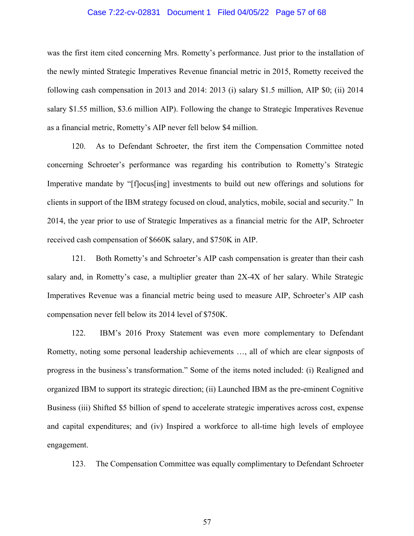#### Case 7:22-cv-02831 Document 1 Filed 04/05/22 Page 57 of 68

was the first item cited concerning Mrs. Rometty's performance. Just prior to the installation of the newly minted Strategic Imperatives Revenue financial metric in 2015, Rometty received the following cash compensation in 2013 and 2014: 2013 (i) salary \$1.5 million, AIP \$0; (ii) 2014 salary \$1.55 million, \$3.6 million AIP). Following the change to Strategic Imperatives Revenue as a financial metric, Rometty's AIP never fell below \$4 million.

120. As to Defendant Schroeter, the first item the Compensation Committee noted concerning Schroeter's performance was regarding his contribution to Rometty's Strategic Imperative mandate by "[f]ocus[ing] investments to build out new offerings and solutions for clients in support of the IBM strategy focused on cloud, analytics, mobile, social and security." In 2014, the year prior to use of Strategic Imperatives as a financial metric for the AIP, Schroeter received cash compensation of \$660K salary, and \$750K in AIP.

121. Both Rometty's and Schroeter's AIP cash compensation is greater than their cash salary and, in Rometty's case, a multiplier greater than 2X-4X of her salary. While Strategic Imperatives Revenue was a financial metric being used to measure AIP, Schroeter's AIP cash compensation never fell below its 2014 level of \$750K.

122. IBM's 2016 Proxy Statement was even more complementary to Defendant Rometty, noting some personal leadership achievements …, all of which are clear signposts of progress in the business's transformation." Some of the items noted included: (i) Realigned and organized IBM to support its strategic direction; (ii) Launched IBM as the pre-eminent Cognitive Business (iii) Shifted \$5 billion of spend to accelerate strategic imperatives across cost, expense and capital expenditures; and (iv) Inspired a workforce to all-time high levels of employee engagement.

123. The Compensation Committee was equally complimentary to Defendant Schroeter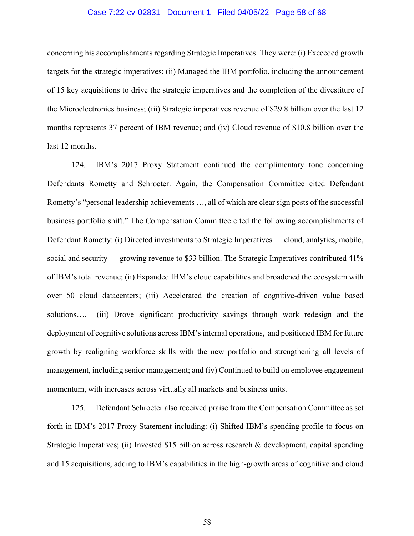#### Case 7:22-cv-02831 Document 1 Filed 04/05/22 Page 58 of 68

concerning his accomplishments regarding Strategic Imperatives. They were: (i) Exceeded growth targets for the strategic imperatives; (ii) Managed the IBM portfolio, including the announcement of 15 key acquisitions to drive the strategic imperatives and the completion of the divestiture of the Microelectronics business; (iii) Strategic imperatives revenue of \$29.8 billion over the last 12 months represents 37 percent of IBM revenue; and (iv) Cloud revenue of \$10.8 billion over the last 12 months.

124. IBM's 2017 Proxy Statement continued the complimentary tone concerning Defendants Rometty and Schroeter. Again, the Compensation Committee cited Defendant Rometty's "personal leadership achievements …, all of which are clear sign posts of the successful business portfolio shift." The Compensation Committee cited the following accomplishments of Defendant Rometty: (i) Directed investments to Strategic Imperatives — cloud, analytics, mobile, social and security — growing revenue to \$33 billion. The Strategic Imperatives contributed 41% of IBM's total revenue; (ii) Expanded IBM's cloud capabilities and broadened the ecosystem with over 50 cloud datacenters; (iii) Accelerated the creation of cognitive-driven value based solutions…. (iii) Drove significant productivity savings through work redesign and the deployment of cognitive solutions across IBM's internal operations, and positioned IBM for future growth by realigning workforce skills with the new portfolio and strengthening all levels of management, including senior management; and (iv) Continued to build on employee engagement momentum, with increases across virtually all markets and business units.

125. Defendant Schroeter also received praise from the Compensation Committee as set forth in IBM's 2017 Proxy Statement including: (i) Shifted IBM's spending profile to focus on Strategic Imperatives; (ii) Invested \$15 billion across research & development, capital spending and 15 acquisitions, adding to IBM's capabilities in the high-growth areas of cognitive and cloud

58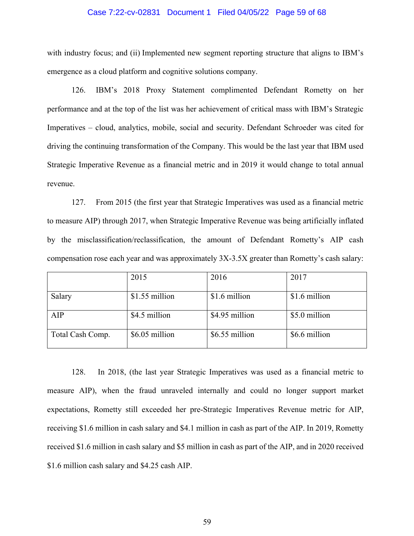#### Case 7:22-cv-02831 Document 1 Filed 04/05/22 Page 59 of 68

with industry focus; and (ii) Implemented new segment reporting structure that aligns to IBM's emergence as a cloud platform and cognitive solutions company.

126. IBM's 2018 Proxy Statement complimented Defendant Rometty on her performance and at the top of the list was her achievement of critical mass with IBM's Strategic Imperatives – cloud, analytics, mobile, social and security. Defendant Schroeder was cited for driving the continuing transformation of the Company. This would be the last year that IBM used Strategic Imperative Revenue as a financial metric and in 2019 it would change to total annual revenue.

127. From 2015 (the first year that Strategic Imperatives was used as a financial metric to measure AIP) through 2017, when Strategic Imperative Revenue was being artificially inflated by the misclassification/reclassification, the amount of Defendant Rometty's AIP cash compensation rose each year and was approximately 3X-3.5X greater than Rometty's cash salary:

|                  | 2015           | 2016           | 2017          |
|------------------|----------------|----------------|---------------|
| Salary           | \$1.55 million | \$1.6 million  | \$1.6 million |
| AIP              | \$4.5 million  | \$4.95 million | \$5.0 million |
| Total Cash Comp. | \$6.05 million | \$6.55 million | \$6.6 million |

128. In 2018, (the last year Strategic Imperatives was used as a financial metric to measure AIP), when the fraud unraveled internally and could no longer support market expectations, Rometty still exceeded her pre-Strategic Imperatives Revenue metric for AIP, receiving \$1.6 million in cash salary and \$4.1 million in cash as part of the AIP. In 2019, Rometty received \$1.6 million in cash salary and \$5 million in cash as part of the AIP, and in 2020 received \$1.6 million cash salary and \$4.25 cash AIP.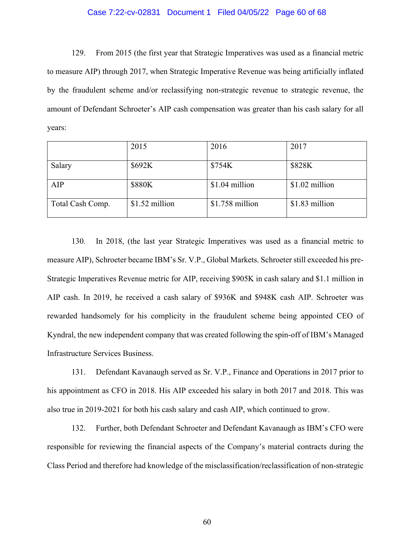# Case 7:22-cv-02831 Document 1 Filed 04/05/22 Page 60 of 68

129. From 2015 (the first year that Strategic Imperatives was used as a financial metric to measure AIP) through 2017, when Strategic Imperative Revenue was being artificially inflated by the fraudulent scheme and/or reclassifying non-strategic revenue to strategic revenue, the amount of Defendant Schroeter's AIP cash compensation was greater than his cash salary for all years:

|                  | 2015           | 2016            | 2017           |
|------------------|----------------|-----------------|----------------|
| Salary           | \$692K         | \$754K          | \$828K         |
| AIP              | \$880K         | \$1.04 million  | \$1.02 million |
| Total Cash Comp. | \$1.52 million | \$1.758 million | \$1.83 million |

130. In 2018, (the last year Strategic Imperatives was used as a financial metric to measure AIP), Schroeter became IBM's Sr. V.P., Global Markets. Schroeter still exceeded his pre-Strategic Imperatives Revenue metric for AIP, receiving \$905K in cash salary and \$1.1 million in AIP cash. In 2019, he received a cash salary of \$936K and \$948K cash AIP. Schroeter was rewarded handsomely for his complicity in the fraudulent scheme being appointed CEO of Kyndral, the new independent company that was created following the spin-off of IBM's Managed Infrastructure Services Business.

131. Defendant Kavanaugh served as Sr. V.P., Finance and Operations in 2017 prior to his appointment as CFO in 2018. His AIP exceeded his salary in both 2017 and 2018. This was also true in 2019-2021 for both his cash salary and cash AIP, which continued to grow.

132. Further, both Defendant Schroeter and Defendant Kavanaugh as IBM's CFO were responsible for reviewing the financial aspects of the Company's material contracts during the Class Period and therefore had knowledge of the misclassification/reclassification of non-strategic

60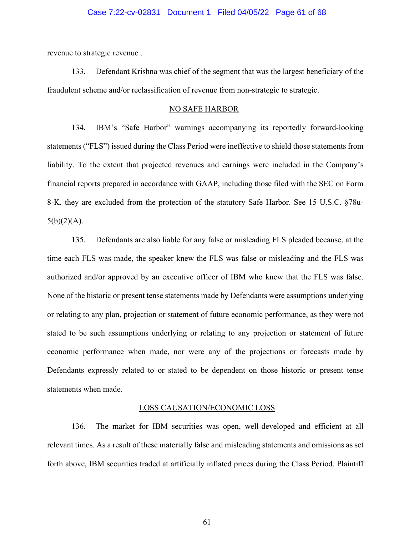#### Case 7:22-cv-02831 Document 1 Filed 04/05/22 Page 61 of 68

revenue to strategic revenue .

133. Defendant Krishna was chief of the segment that was the largest beneficiary of the fraudulent scheme and/or reclassification of revenue from non-strategic to strategic.

## NO SAFE HARBOR

134. IBM's "Safe Harbor" warnings accompanying its reportedly forward-looking statements ("FLS") issued during the Class Period were ineffective to shield those statements from liability. To the extent that projected revenues and earnings were included in the Company's financial reports prepared in accordance with GAAP, including those filed with the SEC on Form 8-K, they are excluded from the protection of the statutory Safe Harbor. See 15 U.S.C. §78u- $5(b)(2)(A)$ .

135. Defendants are also liable for any false or misleading FLS pleaded because, at the time each FLS was made, the speaker knew the FLS was false or misleading and the FLS was authorized and/or approved by an executive officer of IBM who knew that the FLS was false. None of the historic or present tense statements made by Defendants were assumptions underlying or relating to any plan, projection or statement of future economic performance, as they were not stated to be such assumptions underlying or relating to any projection or statement of future economic performance when made, nor were any of the projections or forecasts made by Defendants expressly related to or stated to be dependent on those historic or present tense statements when made.

#### LOSS CAUSATION/ECONOMIC LOSS

136. The market for IBM securities was open, well-developed and efficient at all relevant times. As a result of these materially false and misleading statements and omissions as set forth above, IBM securities traded at artificially inflated prices during the Class Period. Plaintiff

61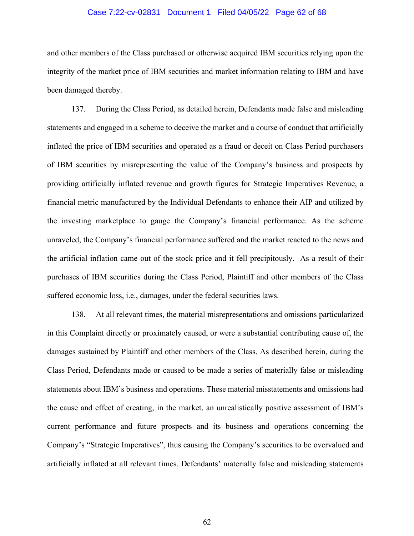#### Case 7:22-cv-02831 Document 1 Filed 04/05/22 Page 62 of 68

and other members of the Class purchased or otherwise acquired IBM securities relying upon the integrity of the market price of IBM securities and market information relating to IBM and have been damaged thereby.

137. During the Class Period, as detailed herein, Defendants made false and misleading statements and engaged in a scheme to deceive the market and a course of conduct that artificially inflated the price of IBM securities and operated as a fraud or deceit on Class Period purchasers of IBM securities by misrepresenting the value of the Company's business and prospects by providing artificially inflated revenue and growth figures for Strategic Imperatives Revenue, a financial metric manufactured by the Individual Defendants to enhance their AIP and utilized by the investing marketplace to gauge the Company's financial performance. As the scheme unraveled, the Company's financial performance suffered and the market reacted to the news and the artificial inflation came out of the stock price and it fell precipitously. As a result of their purchases of IBM securities during the Class Period, Plaintiff and other members of the Class suffered economic loss, i.e., damages, under the federal securities laws.

138. At all relevant times, the material misrepresentations and omissions particularized in this Complaint directly or proximately caused, or were a substantial contributing cause of, the damages sustained by Plaintiff and other members of the Class. As described herein, during the Class Period, Defendants made or caused to be made a series of materially false or misleading statements about IBM's business and operations. These material misstatements and omissions had the cause and effect of creating, in the market, an unrealistically positive assessment of IBM's current performance and future prospects and its business and operations concerning the Company's "Strategic Imperatives", thus causing the Company's securities to be overvalued and artificially inflated at all relevant times. Defendants' materially false and misleading statements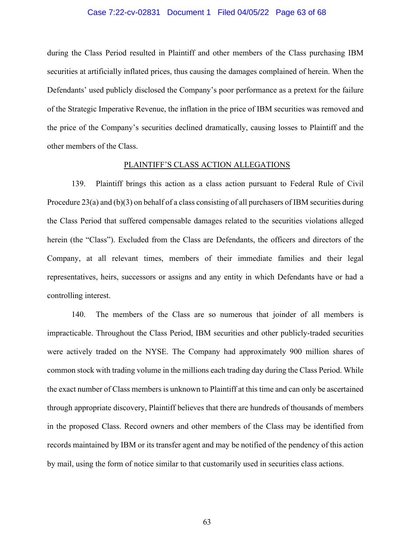#### Case 7:22-cv-02831 Document 1 Filed 04/05/22 Page 63 of 68

during the Class Period resulted in Plaintiff and other members of the Class purchasing IBM securities at artificially inflated prices, thus causing the damages complained of herein. When the Defendants' used publicly disclosed the Company's poor performance as a pretext for the failure of the Strategic Imperative Revenue, the inflation in the price of IBM securities was removed and the price of the Company's securities declined dramatically, causing losses to Plaintiff and the other members of the Class.

#### PLAINTIFF'S CLASS ACTION ALLEGATIONS

139. Plaintiff brings this action as a class action pursuant to Federal Rule of Civil Procedure 23(a) and (b)(3) on behalf of a class consisting of all purchasers of IBM securities during the Class Period that suffered compensable damages related to the securities violations alleged herein (the "Class"). Excluded from the Class are Defendants, the officers and directors of the Company, at all relevant times, members of their immediate families and their legal representatives, heirs, successors or assigns and any entity in which Defendants have or had a controlling interest.

140. The members of the Class are so numerous that joinder of all members is impracticable. Throughout the Class Period, IBM securities and other publicly-traded securities were actively traded on the NYSE. The Company had approximately 900 million shares of common stock with trading volume in the millions each trading day during the Class Period. While the exact number of Class members is unknown to Plaintiff at this time and can only be ascertained through appropriate discovery, Plaintiff believes that there are hundreds of thousands of members in the proposed Class. Record owners and other members of the Class may be identified from records maintained by IBM or its transfer agent and may be notified of the pendency of this action by mail, using the form of notice similar to that customarily used in securities class actions.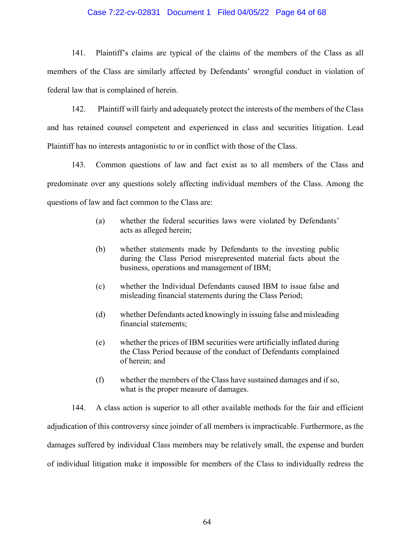#### Case 7:22-cv-02831 Document 1 Filed 04/05/22 Page 64 of 68

141. Plaintiff's claims are typical of the claims of the members of the Class as all members of the Class are similarly affected by Defendants' wrongful conduct in violation of federal law that is complained of herein.

142. Plaintiff will fairly and adequately protect the interests of the members of the Class and has retained counsel competent and experienced in class and securities litigation. Lead Plaintiff has no interests antagonistic to or in conflict with those of the Class.

143. Common questions of law and fact exist as to all members of the Class and predominate over any questions solely affecting individual members of the Class. Among the questions of law and fact common to the Class are:

- (a) whether the federal securities laws were violated by Defendants' acts as alleged herein;
- (b) whether statements made by Defendants to the investing public during the Class Period misrepresented material facts about the business, operations and management of IBM;
- (c) whether the Individual Defendants caused IBM to issue false and misleading financial statements during the Class Period;
- (d) whether Defendants acted knowingly in issuing false and misleading financial statements;
- (e) whether the prices of IBM securities were artificially inflated during the Class Period because of the conduct of Defendants complained of herein; and
- (f) whether the members of the Class have sustained damages and if so, what is the proper measure of damages.

144. A class action is superior to all other available methods for the fair and efficient adjudication of this controversy since joinder of all members is impracticable. Furthermore, as the damages suffered by individual Class members may be relatively small, the expense and burden of individual litigation make it impossible for members of the Class to individually redress the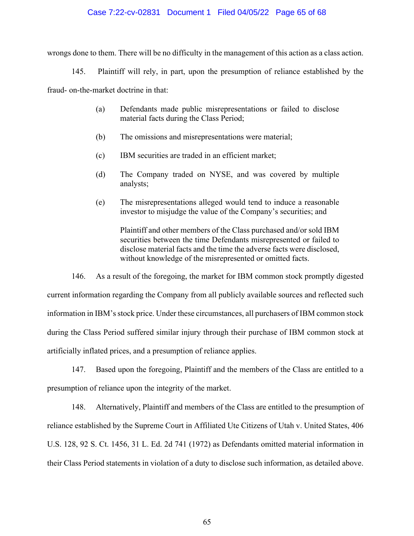#### Case 7:22-cv-02831 Document 1 Filed 04/05/22 Page 65 of 68

wrongs done to them. There will be no difficulty in the management of this action as a class action.

145. Plaintiff will rely, in part, upon the presumption of reliance established by the

fraud- on-the-market doctrine in that:

- (a) Defendants made public misrepresentations or failed to disclose material facts during the Class Period;
- (b) The omissions and misrepresentations were material;
- (c) IBM securities are traded in an efficient market;
- (d) The Company traded on NYSE, and was covered by multiple analysts;
- (e) The misrepresentations alleged would tend to induce a reasonable investor to misjudge the value of the Company's securities; and

Plaintiff and other members of the Class purchased and/or sold IBM securities between the time Defendants misrepresented or failed to disclose material facts and the time the adverse facts were disclosed, without knowledge of the misrepresented or omitted facts.

146. As a result of the foregoing, the market for IBM common stock promptly digested current information regarding the Company from all publicly available sources and reflected such information in IBM'sstock price. Under these circumstances, all purchasers of IBM common stock during the Class Period suffered similar injury through their purchase of IBM common stock at artificially inflated prices, and a presumption of reliance applies.

147. Based upon the foregoing, Plaintiff and the members of the Class are entitled to a presumption of reliance upon the integrity of the market.

148. Alternatively, Plaintiff and members of the Class are entitled to the presumption of reliance established by the Supreme Court in Affiliated Ute Citizens of Utah v. United States, 406 U.S. 128, 92 S. Ct. 1456, 31 L. Ed. 2d 741 (1972) as Defendants omitted material information in their Class Period statements in violation of a duty to disclose such information, as detailed above.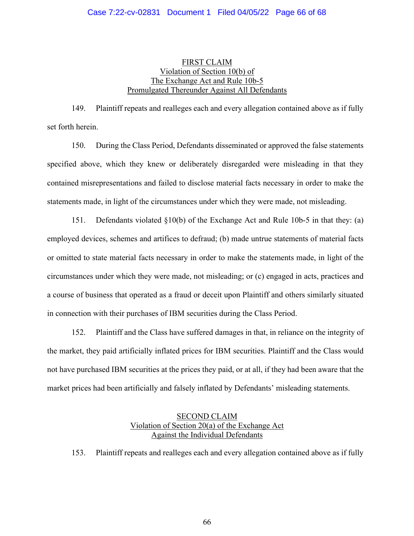## Case 7:22-cv-02831 Document 1 Filed 04/05/22 Page 66 of 68

## FIRST CLAIM Violation of Section 10(b) of The Exchange Act and Rule 10b-5 Promulgated Thereunder Against All Defendants

149. Plaintiff repeats and realleges each and every allegation contained above as if fully set forth herein.

150. During the Class Period, Defendants disseminated or approved the false statements specified above, which they knew or deliberately disregarded were misleading in that they contained misrepresentations and failed to disclose material facts necessary in order to make the statements made, in light of the circumstances under which they were made, not misleading.

151. Defendants violated §10(b) of the Exchange Act and Rule 10b-5 in that they: (a) employed devices, schemes and artifices to defraud; (b) made untrue statements of material facts or omitted to state material facts necessary in order to make the statements made, in light of the circumstances under which they were made, not misleading; or (c) engaged in acts, practices and a course of business that operated as a fraud or deceit upon Plaintiff and others similarly situated in connection with their purchases of IBM securities during the Class Period.

152. Plaintiff and the Class have suffered damages in that, in reliance on the integrity of the market, they paid artificially inflated prices for IBM securities. Plaintiff and the Class would not have purchased IBM securities at the prices they paid, or at all, if they had been aware that the market prices had been artificially and falsely inflated by Defendants' misleading statements.

## SECOND CLAIM Violation of Section 20(a) of the Exchange Act Against the Individual Defendants

153. Plaintiff repeats and realleges each and every allegation contained above as if fully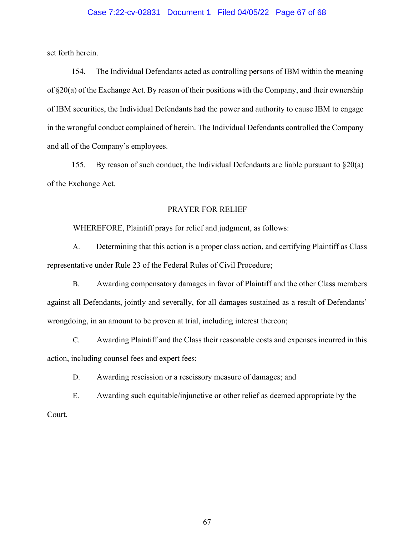#### Case 7:22-cv-02831 Document 1 Filed 04/05/22 Page 67 of 68

set forth herein.

154. The Individual Defendants acted as controlling persons of IBM within the meaning of §20(a) of the Exchange Act. By reason of their positions with the Company, and their ownership of IBM securities, the Individual Defendants had the power and authority to cause IBM to engage in the wrongful conduct complained of herein. The Individual Defendants controlled the Company and all of the Company's employees.

155. By reason of such conduct, the Individual Defendants are liable pursuant to §20(a) of the Exchange Act.

#### PRAYER FOR RELIEF

WHEREFORE, Plaintiff prays for relief and judgment, as follows:

A. Determining that this action is a proper class action, and certifying Plaintiff as Class representative under Rule 23 of the Federal Rules of Civil Procedure;

B. Awarding compensatory damages in favor of Plaintiff and the other Class members against all Defendants, jointly and severally, for all damages sustained as a result of Defendants' wrongdoing, in an amount to be proven at trial, including interest thereon;

C. Awarding Plaintiff and the Class their reasonable costs and expenses incurred in this action, including counsel fees and expert fees;

D. Awarding rescission or a rescissory measure of damages; and

E. Awarding such equitable/injunctive or other relief as deemed appropriate by the Court.